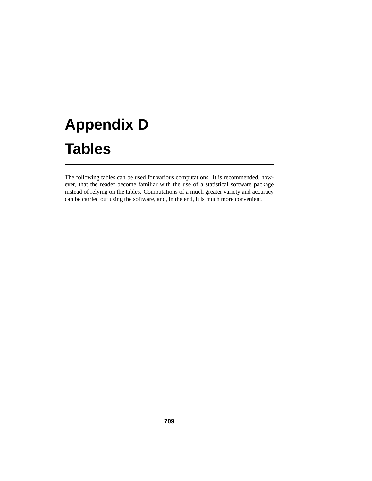# **Appendix D Tables**

The following tables can be used for various computations. It is recommended, however, that the reader become familiar with the use of a statistical software package instead of relying on the tables. Computations of a much greater variety and accuracy can be carried out using the software, and, in the end, it is much more convenient.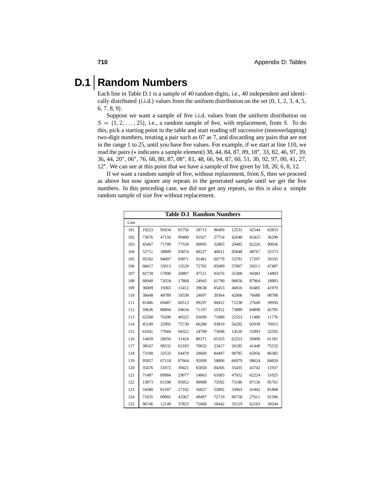### **D.1 Random Numbers**

Each line in Table D.1 is a sample of 40 random digits, i.e., 40 independent and identically distributed (i.i.d.) values from the uniform distribution on the set  $\{0, 1, 2, 3, 4, 5, \ldots\}$ , <sup>7</sup>, <sup>8</sup>, <sup>9</sup>}.

Suppose we want a sample of five i.i.d. values from the uniform distribution on  $S = \{1, 2, \ldots, 25\}$ , i.e., a random sample of five, with replacement, from *S*. To do this, pick a starting point in the table and start reading off successive (nonoverlapping) two-digit numbers, treating a pair such as 07 as 7, and discarding any pairs that are not in the range 1 to 25, until you have five values. For example, if we start at line 110, we read the pairs (<sup>∗</sup> indicates a sample element) 38, 44, 84, 87, 89, 18∗, 33, 82, 46, 97, 39, 36, 44, 20∗, 06∗, 76, 68, 80, 87, 08∗, 81, 48, 66, 94, 87, 60, 51, 30, 92, 97, 00, 41, 27, ∗. We can see at this point that we have a sample of five given by 18, 20, 6, 8, 12.

If we want a random sample of five, without replacement, from *S*, then we proceed as above but now ignore any repeats in the generated sample until we get the five numbers. In this preceding case, we did not get any repeats, so this is also a simple random sample of size five without replacement.

|      |       |       |       | <b>Table D.1 Random Numbers</b> |       |       |       |       |
|------|-------|-------|-------|---------------------------------|-------|-------|-------|-------|
| Line |       |       |       |                                 |       |       |       |       |
| 101  | 19223 | 95034 | 05756 | 28713                           | 96409 | 12531 | 42544 | 82853 |
| 102  | 73676 | 47150 | 99400 | 01927                           | 27754 | 42648 | 82425 | 36290 |
| 103  | 45467 | 71709 | 77558 | 00095                           | 32863 | 29485 | 82226 | 90056 |
| 104  | 52711 | 38889 | 93074 | 60227                           | 40011 | 85848 | 48767 | 52573 |
| 105  | 95592 | 94007 | 69971 | 91481                           | 60779 | 53791 | 17297 | 59335 |
| 106  | 68417 | 35013 | 15529 | 72765                           | 85089 | 57067 | 50211 | 47487 |
| 107  | 82739 | 57890 | 20807 | 47511                           | 81676 | 55300 | 94383 | 14893 |
| 108  | 60940 | 72024 | 17868 | 24943                           | 61790 | 90656 | 87964 | 18883 |
| 109  | 36009 | 19365 | 15412 | 39638                           | 85453 | 46816 | 83485 | 41979 |
| 110  | 38448 | 48789 | 18338 | 24697                           | 39364 | 42006 | 76688 | 08708 |
| 111  | 81486 | 69487 | 60513 | 09297                           | 00412 | 71238 | 27649 | 39950 |
| 112  | 59636 | 88804 | 04634 | 71197                           | 19352 | 73089 | 84898 | 45785 |
| 113  | 62568 | 70206 | 40325 | 03699                           | 71080 | 22553 | 11486 | 11776 |
| 114  | 45149 | 32992 | 75730 | 66280                           | 03819 | 56202 | 02938 | 70915 |
| 115  | 61041 | 77684 | 94322 | 24709                           | 73698 | 14526 | 31893 | 32592 |
| 116  | 14459 | 26056 | 31424 | 80371                           | 65103 | 62253 | 50490 | 61181 |
| 117  | 38167 | 98532 | 62183 | 70632                           | 23417 | 26185 | 41448 | 75532 |
| 118  | 73190 | 32533 | 04470 | 29669                           | 84407 | 90785 | 65956 | 86382 |
| 119  | 95857 | 07118 | 87664 | 92099                           | 58806 | 66979 | 98624 | 84826 |
| 120  | 35476 | 55972 | 39421 | 65850                           | 04266 | 35435 | 43742 | 11937 |
| 121  | 71487 | 09984 | 29077 | 14863                           | 61683 | 47052 | 62224 | 51025 |
| 122  | 13873 | 81598 | 95052 | 90908                           | 73592 | 75186 | 87136 | 95761 |
| 123  | 54580 | 81507 | 27102 | 56027                           | 55892 | 33063 | 41842 | 81868 |
| 124  | 71035 | 09001 | 43367 | 49497                           | 72719 | 96758 | 27611 | 91596 |
| 125  | 96746 | 12149 | 37823 | 71868                           | 18442 | 35119 | 62103 | 39244 |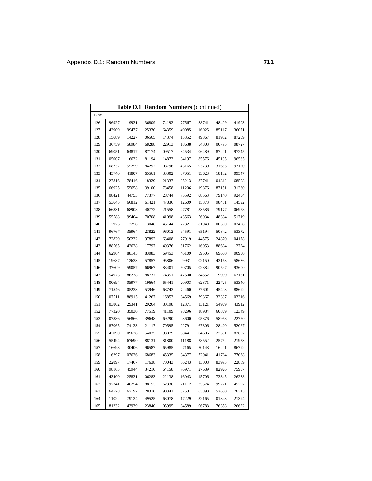|      | Table D.1 Random Numbers (continued) |       |       |       |       |       |       |       |  |  |
|------|--------------------------------------|-------|-------|-------|-------|-------|-------|-------|--|--|
| Line |                                      |       |       |       |       |       |       |       |  |  |
| 126  | 96927                                | 19931 | 36809 | 74192 | 77567 | 88741 | 48409 | 41903 |  |  |
| 127  | 43909                                | 99477 | 25330 | 64359 | 40085 | 16925 | 85117 | 36071 |  |  |
| 128  | 15689                                | 14227 | 06565 | 14374 | 13352 | 49367 | 81982 | 87209 |  |  |
| 129  | 36759                                | 58984 | 68288 | 22913 | 18638 | 54303 | 00795 | 08727 |  |  |
| 130  | 69051                                | 64817 | 87174 | 09517 | 84534 | 06489 | 87201 | 97245 |  |  |
| 131  | 05007                                | 16632 | 81194 | 14873 | 04197 | 85576 | 45195 | 96565 |  |  |
| 132  | 68732                                | 55259 | 84292 | 08796 | 43165 | 93739 | 31685 | 97150 |  |  |
| 133  | 45740                                | 41807 | 65561 | 33302 | 07051 | 93623 | 18132 | 09547 |  |  |
| 134  | 27816                                | 78416 | 18329 | 21337 | 35213 | 37741 | 04312 | 68508 |  |  |
| 135  | 66925                                | 55658 | 39100 | 78458 | 11206 | 19876 | 87151 | 31260 |  |  |
| 136  | 08421                                | 44753 | 77377 | 28744 | 75592 | 08563 | 79140 | 92454 |  |  |
| 137  | 53645                                | 66812 | 61421 | 47836 | 12609 | 15373 | 98481 | 14592 |  |  |
| 138  | 66831                                | 68908 | 40772 | 21558 | 47781 | 33586 | 79177 | 06928 |  |  |
| 139  | 55588                                | 99404 | 70708 | 41098 | 43563 | 56934 | 48394 | 51719 |  |  |
| 140  | 12975                                | 13258 | 13048 | 45144 | 72321 | 81940 | 00360 | 02428 |  |  |
| 141  | 96767                                | 35964 | 23822 | 96012 | 94591 | 65194 | 50842 | 53372 |  |  |
| 142  | 72829                                | 50232 | 97892 | 63408 | 77919 | 44575 | 24870 | 04178 |  |  |
| 143  | 88565                                | 42628 | 17797 | 49376 | 61762 | 16953 | 88604 | 12724 |  |  |
| 144  | 62964                                | 88145 | 83083 | 69453 | 46109 | 59505 | 69680 | 00900 |  |  |
| 145  | 19687                                | 12633 | 57857 | 95806 | 09931 | 02150 | 43163 | 58636 |  |  |
| 146  | 37609                                | 59057 | 66967 | 83401 | 60705 | 02384 | 90597 | 93600 |  |  |
| 147  | 54973                                | 86278 | 88737 | 74351 | 47500 | 84552 | 19909 | 67181 |  |  |
| 148  | 00694                                | 05977 | 19664 | 65441 | 20903 | 62371 | 22725 | 53340 |  |  |
| 149  | 71546                                | 05233 | 53946 | 68743 | 72460 | 27601 | 45403 | 88692 |  |  |
| 150  | 07511                                | 88915 | 41267 | 16853 | 84569 | 79367 | 32337 | 03316 |  |  |
| 151  | 03802                                | 29341 | 29264 | 80198 | 12371 | 13121 | 54969 | 43912 |  |  |
| 152  | 77320                                | 35030 | 77519 | 41109 | 98296 | 18984 | 60869 | 12349 |  |  |
| 153  | 07886                                | 56866 | 39648 | 69290 | 03600 | 05376 | 58958 | 22720 |  |  |
| 154  | 87065                                | 74133 | 21117 | 70595 | 22791 | 67306 | 28420 | 52067 |  |  |
| 155  | 42090                                | 09628 | 54035 | 93879 | 98441 | 04606 | 27381 | 82637 |  |  |
| 156  | 55494                                | 67690 | 88131 | 81800 | 11188 | 28552 | 25752 | 21953 |  |  |
| 157  | 16698                                | 30406 | 96587 | 65985 | 07165 | 50148 | 16201 | 86792 |  |  |
| 158  | 16297                                | 07626 | 68683 | 45335 | 34377 | 72941 | 41764 | 77038 |  |  |
| 159  | 22897                                | 17467 | 17638 | 70043 | 36243 | 13008 | 83993 | 22869 |  |  |
| 160  | 98163                                | 45944 | 34210 | 64158 | 76971 | 27689 | 82926 | 75957 |  |  |
| 161  | 43400                                | 25831 | 06283 | 22138 | 16043 | 15706 | 73345 | 26238 |  |  |
| 162  | 97341                                | 46254 | 88153 | 62336 | 21112 | 35574 | 99271 | 45297 |  |  |
| 163  | 64578                                | 67197 | 28310 | 90341 | 37531 | 63890 | 52630 | 76315 |  |  |
| 164  | 11022                                | 79124 | 49525 | 63078 | 17229 | 32165 | 01343 | 21394 |  |  |
| 165  | 81232                                | 43939 | 23840 | 05995 | 84589 | 06788 | 76358 | 26622 |  |  |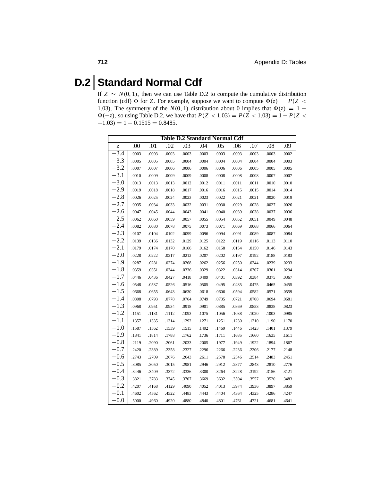### **D.2 Standard Normal Cdf**

If  $Z \sim N(0, 1)$ , then we can use Table D.2 to compute the cumulative distribution function (cdf)  $\Phi$  for *Z*. For example, suppose we want to compute  $\Phi(z) = P(Z \leq z)$ 1.03). The symmetry of the  $N(0, 1)$  distribution about 0 implies that  $\Phi(z) = 1 \Phi(-z)$ , so using Table D.2, we have that  $P(Z < 1.03) = P(Z < 1.03) = 1 - P(Z < 1.03)$  $-1.03$ ) = 1 – 0.1515 = 0.8485.

| <b>Table D.2 Standard Normal Cdf</b> |       |       |       |       |       |       |       |       |       |       |  |
|--------------------------------------|-------|-------|-------|-------|-------|-------|-------|-------|-------|-------|--|
| Z                                    | .00   | .01   | .02   | .03   | .04   | .05   | .06   | .07   | .08   | .09   |  |
| $-3.4$                               | .0003 | .0003 | .0003 | .0003 | .0003 | .0003 | .0003 | .0003 | .0003 | .0002 |  |
| $-3.3$                               | .0005 | .0005 | .0005 | .0004 | .0004 | .0004 | .0004 | .0004 | .0004 | .0003 |  |
| $-3.2$                               | .0007 | .0007 | .0006 | .0006 | .0006 | .0006 | .0006 | .0005 | .0005 | .0005 |  |
| $-3.1$                               | .0010 | .0009 | .0009 | .0009 | .0008 | .0008 | .0008 | .0008 | .0007 | .0007 |  |
| $-3.0$                               | .0013 | .0013 | .0013 | .0012 | .0012 | .0011 | .0011 | .0011 | .0010 | .0010 |  |
| $-2.9$                               | .0019 | .0018 | .0018 | .0017 | .0016 | .0016 | .0015 | .0015 | .0014 | .0014 |  |
| $-2.8$                               | .0026 | .0025 | .0024 | .0023 | .0023 | .0022 | .0021 | .0021 | .0020 | .0019 |  |
| $-2.7$                               | .0035 | .0034 | .0033 | .0032 | .0031 | .0030 | .0029 | .0028 | .0027 | .0026 |  |
| $-2.6$                               | .0047 | .0045 | .0044 | .0043 | .0041 | .0040 | .0039 | .0038 | .0037 | .0036 |  |
| $-2.5$                               | .0062 | .0060 | .0059 | .0057 | .0055 | .0054 | .0052 | .0051 | .0049 | .0048 |  |
| $-2.4$                               | .0082 | .0080 | .0078 | .0075 | .0073 | .0071 | .0069 | .0068 | .0066 | .0064 |  |
| $-2.3$                               | .0107 | .0104 | .0102 | .0099 | .0096 | .0094 | .0091 | .0089 | .0087 | .0084 |  |
| $-2.2$                               | .0139 | .0136 | .0132 | .0129 | .0125 | .0122 | .0119 | .0116 | .0113 | .0110 |  |
| $-2.1$                               | .0179 | .0174 | .0170 | .0166 | .0162 | .0158 | .0154 | .0150 | .0146 | .0143 |  |
| $-2.0$                               | .0228 | .0222 | .0217 | .0212 | .0207 | .0202 | .0197 | .0192 | .0188 | .0183 |  |
| $-1.9$                               | .0287 | .0281 | .0274 | .0268 | .0262 | .0256 | .0250 | .0244 | .0239 | .0233 |  |
| $-1.8$                               | .0359 | .0351 | .0344 | .0336 | .0329 | .0322 | .0314 | .0307 | .0301 | .0294 |  |
| $-1.7$                               | .0446 | .0436 | .0427 | .0418 | .0409 | .0401 | .0392 | .0384 | .0375 | .0367 |  |
| $-1.6$                               | .0548 | .0537 | .0526 | .0516 | .0505 | .0495 | .0485 | .0475 | .0465 | .0455 |  |
| $-1.5$                               | .0668 | .0655 | .0643 | .0630 | .0618 | .0606 | .0594 | .0582 | .0571 | .0559 |  |
| $-1.4$                               | .0808 | .0793 | .0778 | .0764 | .0749 | .0735 | .0721 | .0708 | .0694 | .0681 |  |
| $-1.3$                               | .0968 | .0951 | .0934 | .0918 | .0901 | .0885 | .0869 | .0853 | .0838 | .0823 |  |
| $-1.2$                               | .1151 | .1131 | .1112 | .1093 | .1075 | .1056 | .1038 | .1020 | .1003 | .0985 |  |
| $-1.1$                               | .1357 | .1335 | .1314 | .1292 | .1271 | .1251 | .1230 | .1210 | .1190 | .1170 |  |
| $-1.0$                               | .1587 | .1562 | .1539 | .1515 | .1492 | .1469 | .1446 | .1423 | .1401 | .1379 |  |
| $-0.9$                               | .1841 | .1814 | .1788 | .1762 | .1736 | .1711 | .1685 | .1660 | .1635 | .1611 |  |
| $-0.8$                               | .2119 | .2090 | .2061 | .2033 | .2005 | .1977 | .1949 | .1922 | .1894 | .1867 |  |
| $-0.7$                               | .2420 | .2389 | .2358 | .2327 | .2296 | .2266 | .2236 | .2206 | .2177 | .2148 |  |
| $-0.6$                               | .2743 | .2709 | .2676 | .2643 | .2611 | .2578 | .2546 | .2514 | .2483 | .2451 |  |
| $-0.5$                               | .3085 | .3050 | .3015 | .2981 | .2946 | .2912 | .2877 | .2843 | .2810 | .2776 |  |
| $-0.4$                               | .3446 | .3409 | .3372 | .3336 | .3300 | .3264 | .3228 | .3192 | .3156 | .3121 |  |
| $-0.3$                               | .3821 | .3783 | .3745 | .3707 | .3669 | .3632 | .3594 | .3557 | .3520 | .3483 |  |
| $-0.2$                               | .4207 | .4168 | .4129 | .4090 | .4052 | .4013 | .3974 | .3936 | .3897 | .3859 |  |
| $-0.1$                               | .4602 | .4562 | .4522 | .4483 | .4443 | .4404 | .4364 | .4325 | .4286 | .4247 |  |
| $-0.0$                               | .5000 | .4960 | .4920 | .4880 | .4840 | .4801 | .4761 | .4721 | .4681 | .4641 |  |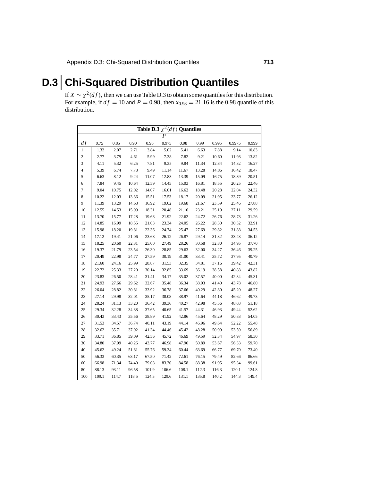# **D.3 Chi-Squared Distribution Quantiles**

If  $X \sim \chi^2(df)$ , then we can use Table D.3 to obtain some quantiles for this distribution. For example, if  $df = 10$  and  $P = 0.98$ , then  $x_{0.98} = 21.16$  is the 0.98 quantile of this distribution.

|                | Table D.3 $\chi^2(\overline{df})$ Quantiles |       |       |       |       |       |       |       |        |       |  |  |
|----------------|---------------------------------------------|-------|-------|-------|-------|-------|-------|-------|--------|-------|--|--|
|                |                                             |       |       |       | P     |       |       |       |        |       |  |  |
| $\frac{df}{f}$ | 0.75                                        | 0.85  | 0.90  | 0.95  | 0.975 | 0.98  | 0.99  | 0.995 | 0.9975 | 0.999 |  |  |
| 1              | 1.32                                        | 2.07  | 2.71  | 3.84  | 5.02  | 5.41  | 6.63  | 7.88  | 9.14   | 10.83 |  |  |
| $\sqrt{2}$     | 2.77                                        | 3.79  | 4.61  | 5.99  | 7.38  | 7.82  | 9.21  | 10.60 | 11.98  | 13.82 |  |  |
| 3              | 4.11                                        | 5.32  | 6.25  | 7.81  | 9.35  | 9.84  | 11.34 | 12.84 | 14.32  | 16.27 |  |  |
| 4              | 5.39                                        | 6.74  | 7.78  | 9.49  | 11.14 | 11.67 | 13.28 | 14.86 | 16.42  | 18.47 |  |  |
| $\mathfrak s$  | 6.63                                        | 8.12  | 9.24  | 11.07 | 12.83 | 13.39 | 15.09 | 16.75 | 18.39  | 20.51 |  |  |
| 6              | 7.84                                        | 9.45  | 10.64 | 12.59 | 14.45 | 15.03 | 16.81 | 18.55 | 20.25  | 22.46 |  |  |
| $\tau$         | 9.04                                        | 10.75 | 12.02 | 14.07 | 16.01 | 16.62 | 18.48 | 20.28 | 22.04  | 24.32 |  |  |
| $\,$ 8 $\,$    | 10.22                                       | 12.03 | 13.36 | 15.51 | 17.53 | 18.17 | 20.09 | 21.95 | 23.77  | 26.12 |  |  |
| 9              | 11.39                                       | 13.29 | 14.68 | 16.92 | 19.02 | 19.68 | 21.67 | 23.59 | 25.46  | 27.88 |  |  |
| 10             | 12.55                                       | 14.53 | 15.99 | 18.31 | 20.48 | 21.16 | 23.21 | 25.19 | 27.11  | 29.59 |  |  |
| 11             | 13.70                                       | 15.77 | 17.28 | 19.68 | 21.92 | 22.62 | 24.72 | 26.76 | 28.73  | 31.26 |  |  |
| 12             | 14.85                                       | 16.99 | 18.55 | 21.03 | 23.34 | 24.05 | 26.22 | 28.30 | 30.32  | 32.91 |  |  |
| 13             | 15.98                                       | 18.20 | 19.81 | 22.36 | 24.74 | 25.47 | 27.69 | 29.82 | 31.88  | 34.53 |  |  |
| 14             | 17.12                                       | 19.41 | 21.06 | 23.68 | 26.12 | 26.87 | 29.14 | 31.32 | 33.43  | 36.12 |  |  |
| 15             | 18.25                                       | 20.60 | 22.31 | 25.00 | 27.49 | 28.26 | 30.58 | 32.80 | 34.95  | 37.70 |  |  |
| 16             | 19.37                                       | 21.79 | 23.54 | 26.30 | 28.85 | 29.63 | 32.00 | 34.27 | 36.46  | 39.25 |  |  |
| 17             | 20.49                                       | 22.98 | 24.77 | 27.59 | 30.19 | 31.00 | 33.41 | 35.72 | 37.95  | 40.79 |  |  |
| 18             | 21.60                                       | 24.16 | 25.99 | 28.87 | 31.53 | 32.35 | 34.81 | 37.16 | 39.42  | 42.31 |  |  |
| 19             | 22.72                                       | 25.33 | 27.20 | 30.14 | 32.85 | 33.69 | 36.19 | 38.58 | 40.88  | 43.82 |  |  |
| 20             | 23.83                                       | 26.50 | 28.41 | 31.41 | 34.17 | 35.02 | 37.57 | 40.00 | 42.34  | 45.31 |  |  |
| 21             | 24.93                                       | 27.66 | 29.62 | 32.67 | 35.48 | 36.34 | 38.93 | 41.40 | 43.78  | 46.80 |  |  |
| 22             | 26.04                                       | 28.82 | 30.81 | 33.92 | 36.78 | 37.66 | 40.29 | 42.80 | 45.20  | 48.27 |  |  |
| 23             | 27.14                                       | 29.98 | 32.01 | 35.17 | 38.08 | 38.97 | 41.64 | 44.18 | 46.62  | 49.73 |  |  |
| 24             | 28.24                                       | 31.13 | 33.20 | 36.42 | 39.36 | 40.27 | 42.98 | 45.56 | 48.03  | 51.18 |  |  |
| 25             | 29.34                                       | 32.28 | 34.38 | 37.65 | 40.65 | 41.57 | 44.31 | 46.93 | 49.44  | 52.62 |  |  |
| 26             | 30.43                                       | 33.43 | 35.56 | 38.89 | 41.92 | 42.86 | 45.64 | 48.29 | 50.83  | 54.05 |  |  |
| 27             | 31.53                                       | 34.57 | 36.74 | 40.11 | 43.19 | 44.14 | 46.96 | 49.64 | 52.22  | 55.48 |  |  |
| 28             | 32.62                                       | 35.71 | 37.92 | 41.34 | 44.46 | 45.42 | 48.28 | 50.99 | 53.59  | 56.89 |  |  |
| 29             | 33.71                                       | 36.85 | 39.09 | 42.56 | 45.72 | 46.69 | 49.59 | 52.34 | 54.97  | 58.30 |  |  |
| 30             | 34.80                                       | 37.99 | 40.26 | 43.77 | 46.98 | 47.96 | 50.89 | 53.67 | 56.33  | 59.70 |  |  |
| 40             | 45.62                                       | 49.24 | 51.81 | 55.76 | 59.34 | 60.44 | 63.69 | 66.77 | 69.70  | 73.40 |  |  |
| 50             | 56.33                                       | 60.35 | 63.17 | 67.50 | 71.42 | 72.61 | 76.15 | 79.49 | 82.66  | 86.66 |  |  |
| 60             | 66.98                                       | 71.34 | 74.40 | 79.08 | 83.30 | 84.58 | 88.38 | 91.95 | 95.34  | 99.61 |  |  |
| 80             | 88.13                                       | 93.11 | 96.58 | 101.9 | 106.6 | 108.1 | 112.3 | 116.3 | 120.1  | 124.8 |  |  |
| 100            | 109.1                                       | 114.7 | 118.5 | 124.3 | 129.6 | 131.1 | 135.8 | 140.2 | 144.3  | 149.4 |  |  |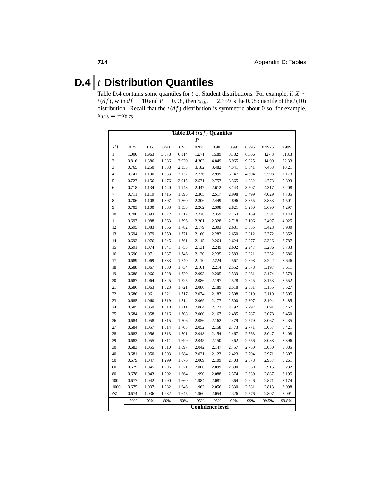## **D.4** *t* **Distribution Quantiles**

Table D.4 contains some quantiles for *<sup>t</sup>* or Student distributions. For example, if *<sup>X</sup>* <sup>∼</sup> *t*(*df*), with  $df = 10$  and  $P = 0.98$ , then  $x_{0.98} = 2.359$  is the 0.98 quantile of the *t*(10) distribution. Recall that the  $t(df)$  distribution is symmetric about 0 so, for example,  $x_{0.25} = -x_{0.75}$ .

| Table D.4 $t(df)$ Quantiles |       |       |       |       |                         |       |       |       |        |       |  |
|-----------------------------|-------|-------|-------|-------|-------------------------|-------|-------|-------|--------|-------|--|
|                             |       |       |       |       | $\overline{P}$          |       |       |       |        |       |  |
| df                          | 0.75  | 0.85  | 0.90  | 0.95  | 0.975                   | 0.98  | 0.99  | 0.995 | 0.9975 | 0.999 |  |
| $\mathbf{1}$                | 1.000 | 1.963 | 3.078 | 6.314 | 12.71                   | 15.89 | 31.82 | 63.66 | 127.3  | 318.3 |  |
| $\overline{\mathbf{c}}$     | 0.816 | 1.386 | 1.886 | 2.920 | 4.303                   | 4.849 | 6.965 | 9.925 | 14.09  | 22.33 |  |
| 3                           | 0.765 | 1.250 | 1.638 | 2.353 | 3.182                   | 3.482 | 4.541 | 5.841 | 7.453  | 10.21 |  |
| $\overline{\mathbf{4}}$     | 0.741 | 1.190 | 1.533 | 2.132 | 2.776                   | 2.999 | 3.747 | 4.604 | 5.598  | 7.173 |  |
| 5                           | 0.727 | 1.156 | 1.476 | 2.015 | 2.571                   | 2.757 | 3.365 | 4.032 | 4.773  | 5.893 |  |
| 6                           | 0.718 | 1.134 | 1.440 | 1.943 | 2.447                   | 2.612 | 3.143 | 3.707 | 4.317  | 5.208 |  |
| 7                           | 0.711 | 1.119 | 1.415 | 1.895 | 2.365                   | 2.517 | 2.998 | 3.499 | 4.029  | 4.785 |  |
| 8                           | 0.706 | 1.108 | 1.397 | 1.860 | 2.306                   | 2.449 | 2.896 | 3.355 | 3.833  | 4.501 |  |
| 9                           | 0.703 | 1.100 | 1.383 | 1.833 | 2.262                   | 2.398 | 2.821 | 3.250 | 3.690  | 4.297 |  |
| 10                          | 0.700 | 1.093 | 1.372 | 1.812 | 2.228                   | 2.359 | 2.764 | 3.169 | 3.581  | 4.144 |  |
| 11                          | 0.697 | 1.088 | 1.363 | 1.796 | 2.201                   | 2.328 | 2.718 | 3.106 | 3.497  | 4.025 |  |
| 12                          | 0.695 | 1.083 | 1.356 | 1.782 | 2.179                   | 2.303 | 2.681 | 3.055 | 3.428  | 3.930 |  |
| 13                          | 0.694 | 1.079 | 1.350 | 1.771 | 2.160                   | 2.282 | 2.650 | 3.012 | 3.372  | 3.852 |  |
| 14                          | 0.692 | 1.076 | 1.345 | 1.761 | 2.145                   | 2.264 | 2.624 | 2.977 | 3.326  | 3.787 |  |
| 15                          | 0.691 | 1.074 | 1.341 | 1.753 | 2.131                   | 2.249 | 2.602 | 2.947 | 3.286  | 3.733 |  |
| 16                          | 0.690 | 1.071 | 1.337 | 1.746 | 2.120                   | 2.235 | 2.583 | 2.921 | 3.252  | 3.686 |  |
| 17                          | 0.689 | 1.069 | 1.333 | 1.740 | 2.110                   | 2.224 | 2.567 | 2.898 | 3.222  | 3.646 |  |
| 18                          | 0.688 | 1.067 | 1.330 | 1.734 | 2.101                   | 2.214 | 2.552 | 2.878 | 3.197  | 3.611 |  |
| 19                          | 0.688 | 1.066 | 1.328 | 1.729 | 2.093                   | 2.205 | 2.539 | 2.861 | 3.174  | 3.579 |  |
| 20                          | 0.687 | 1.064 | 1.325 | 1.725 | 2.086                   | 2.197 | 2.528 | 2.845 | 3.153  | 3.552 |  |
| 21                          | 0.686 | 1.063 | 1.323 | 1.721 | 2.080                   | 2.189 | 2.518 | 2.831 | 3.135  | 3.527 |  |
| 22                          | 0.686 | 1.061 | 1.321 | 1.717 | 2.074                   | 2.183 | 2.508 | 2.819 | 3.119  | 3.505 |  |
| 23                          | 0.685 | 1.060 | 1.319 | 1.714 | 2.069                   | 2.177 | 2.500 | 2.807 | 3.104  | 3.485 |  |
| 24                          | 0.685 | 1.059 | 1.318 | 1.711 | 2.064                   | 2.172 | 2.492 | 2.797 | 3.091  | 3.467 |  |
| 25                          | 0.684 | 1.058 | 1.316 | 1.708 | 2.060                   | 2.167 | 2.485 | 2.787 | 3.078  | 3.450 |  |
| 26                          | 0.684 | 1.058 | 1.315 | 1.706 | 2.056                   | 2.162 | 2.479 | 2.779 | 3.067  | 3.435 |  |
| 27                          | 0.684 | 1.057 | 1.314 | 1.703 | 2.052                   | 2.158 | 2.473 | 2.771 | 3.057  | 3.421 |  |
| 28                          | 0.683 | 1.056 | 1.313 | 1.701 | 2.048                   | 2.154 | 2.467 | 2.763 | 3.047  | 3.408 |  |
| 29                          | 0.683 | 1.055 | 1.311 | 1.699 | 2.045                   | 2.150 | 2.462 | 2.756 | 3.038  | 3.396 |  |
| 30                          | 0.683 | 1.055 | 1.310 | 1.697 | 2.042                   | 2.147 | 2.457 | 2.750 | 3.030  | 3.385 |  |
| 40                          | 0.681 | 1.050 | 1.303 | 1.684 | 2.021                   | 2.123 | 2.423 | 2.704 | 2.971  | 3.307 |  |
| 50                          | 0.679 | 1.047 | 1.299 | 1.676 | 2.009                   | 2.109 | 2.403 | 2.678 | 2.937  | 3.261 |  |
| 60                          | 0.679 | 1.045 | 1.296 | 1.671 | 2.000                   | 2.099 | 2.390 | 2.660 | 2.915  | 3.232 |  |
| 80                          | 0.678 | 1.043 | 1.292 | 1.664 | 1.990                   | 2.088 | 2.374 | 2.639 | 2.887  | 3.195 |  |
| 100                         | 0.677 | 1.042 | 1.290 | 1.660 | 1.984                   | 2.081 | 2.364 | 2.626 | 2.871  | 3.174 |  |
| 1000                        | 0.675 | 1.037 | 1.282 | 1.646 | 1.962                   | 2.056 | 2.330 | 2.581 | 2.813  | 3.098 |  |
| $\infty$                    | 0.674 | 1.036 | 1.282 | 1.645 | 1.960                   | 2.054 | 2.326 | 2.576 | 2.807  | 3.091 |  |
|                             | 50%   | 70%   | 80%   | 90%   | 95%                     | 96%   | 98%   | 99%   | 99.5%  | 99.8% |  |
|                             |       |       |       |       | <b>Confidence level</b> |       |       |       |        |       |  |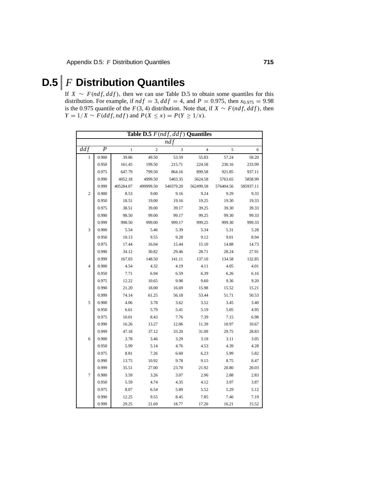## **D.5** *F* **Distribution Quantiles**

If  $X \sim F(ndf, ddf)$ , then we can use Table D.5 to obtain some quantiles for this distribution. For example, if  $ndf = 3$ ,  $ddf = 4$ , and  $P = 0.975$ , then  $x_{0.975} = 9.98$ is the 0.975 quantile of the *<sup>F</sup>*(3, <sup>4</sup>) distribution. Note that, if *<sup>X</sup>* <sup>∼</sup> *<sup>F</sup>*(*ndf*, *ddf* ), then *Y* = 1/*X* ∼ *F*(*ddf*, *ndf*) and *P*(*X* ≤ *x*) = *P*(*Y* ≥ 1/*x*).

|                |                  |              |                | Table D.5 $F(ndf, ddf)$ Quantiles |                |           |           |
|----------------|------------------|--------------|----------------|-----------------------------------|----------------|-----------|-----------|
|                |                  |              |                | ndf                               |                |           |           |
| ddf            | $\boldsymbol{P}$ | $\mathbf{1}$ | $\overline{c}$ | 3                                 | $\overline{4}$ | 5         | 6         |
| 1              | 0.900            | 39.86        | 49.50          | 53.59                             | 55.83          | 57.24     | 58.20     |
|                | 0.950            | 161.45       | 199.50         | 215.71                            | 224.58         | 230.16    | 233.99    |
|                | 0.975            | 647.79       | 799.50         | 864.16                            | 899.58         | 921.85    | 937.11    |
|                | 0.990            | 4052.18      | 4999.50        | 5403.35                           | 5624.58        | 5763.65   | 5858.99   |
|                | 0.999            | 405284.07    | 499999.50      | 540379.20                         | 562499.58      | 576404.56 | 585937.11 |
| $\overline{c}$ | 0.900            | 8.53         | 9.00           | 9.16                              | 9.24           | 9.29      | 9.33      |
|                | 0.950            | 18.51        | 19.00          | 19.16                             | 19.25          | 19.30     | 19.33     |
|                | 0.975            | 38.51        | 39.00          | 39.17                             | 39.25          | 39.30     | 39.33     |
|                | 0.990            | 98.50        | 99.00          | 99.17                             | 99.25          | 99.30     | 99.33     |
|                | 0.999            | 998.50       | 999.00         | 999.17                            | 999.25         | 999.30    | 999.33    |
| 3              | 0.900            | 5.54         | 5.46           | 5.39                              | 5.34           | 5.31      | 5.28      |
|                | 0.950            | 10.13        | 9.55           | 9.28                              | 9.12           | 9.01      | 8.94      |
|                | 0.975            | 17.44        | 16.04          | 15.44                             | 15.10          | 14.88     | 14.73     |
|                | 0.990            | 34.12        | 30.82          | 29.46                             | 28.71          | 28.24     | 27.91     |
|                | 0.999            | 167.03       | 148.50         | 141.11                            | 137.10         | 134.58    | 132.85    |
| $\overline{4}$ | 0.900            | 4.54         | 4.32           | 4.19                              | 4.11           | 4.05      | 4.01      |
|                | 0.950            | 7.71         | 6.94           | 6.59                              | 6.39           | 6.26      | 6.16      |
|                | 0.975            | 12.22        | 10.65          | 9.98                              | 9.60           | 9.36      | 9.20      |
|                | 0.990            | 21.20        | 18.00          | 16.69                             | 15.98          | 15.52     | 15.21     |
|                | 0.999            | 74.14        | 61.25          | 56.18                             | 53.44          | 51.71     | 50.53     |
| 5              | 0.900            | 4.06         | 3.78           | 3.62                              | 3.52           | 3.45      | 3.40      |
|                | 0.950            | 6.61         | 5.79           | 5.41                              | 5.19           | 5.05      | 4.95      |
|                | 0.975            | 10.01        | 8.43           | 7.76                              | 7.39           | 7.15      | 6.98      |
|                | 0.990            | 16.26        | 13.27          | 12.06                             | 11.39          | 10.97     | 10.67     |
|                | 0.999            | 47.18        | 37.12          | 33.20                             | 31.09          | 29.75     | 28.83     |
| 6              | 0.900            | 3.78         | 3.46           | 3.29                              | 3.18           | 3.11      | 3.05      |
|                | 0.950            | 5.99         | 5.14           | 4.76                              | 4.53           | 4.39      | 4.28      |
|                | 0.975            | 8.81         | 7.26           | 6.60                              | 6.23           | 5.99      | 5.82      |
|                | 0.990            | 13.75        | 10.92          | 9.78                              | 9.15           | 8.75      | 8.47      |
|                | 0.999            | 35.51        | 27.00          | 23.70                             | 21.92          | 20.80     | 20.03     |
| $\overline{7}$ | 0.900            | 3.59         | 3.26           | 3.07                              | 2.96           | 2.88      | 2.83      |
|                | 0.950            | 5.59         | 4.74           | 4.35                              | 4.12           | 3.97      | 3.87      |
|                | 0.975            | 8.07         | 6.54           | 5.89                              | 5.52           | 5.29      | 5.12      |
|                | 0.990            | 12.25        | 9.55           | 8.45                              | 7.85           | 7.46      | 7.19      |
|                | 0.999            | 29.25        | 21.69          | 18.77                             | 17.20          | 16.21     | 15.52     |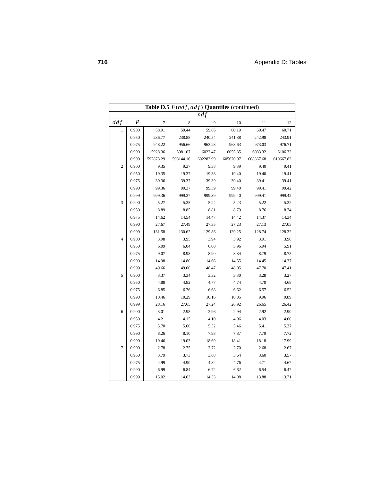|                  | Table D.5 $F(ndf, ddf)$ Quantiles (continued) |           |           |           |           |           |           |  |  |  |  |  |  |
|------------------|-----------------------------------------------|-----------|-----------|-----------|-----------|-----------|-----------|--|--|--|--|--|--|
|                  |                                               |           |           | ndf       |           |           |           |  |  |  |  |  |  |
| $\overline{ddf}$ | $\overline{P}$                                | $\tau$    | 8         | 9         | 10        | 11        | 12        |  |  |  |  |  |  |
| 1                | 0.900                                         | 58.91     | 59.44     | 59.86     | 60.19     | 60.47     | 60.71     |  |  |  |  |  |  |
|                  | 0.950                                         | 236.77    | 238.88    | 240.54    | 241.88    | 242.98    | 243.91    |  |  |  |  |  |  |
|                  | 0.975                                         | 948.22    | 956.66    | 963.28    | 968.63    | 973.03    | 976.71    |  |  |  |  |  |  |
|                  | 0.990                                         | 5928.36   | 5981.07   | 6022.47   | 6055.85   | 6083.32   | 6106.32   |  |  |  |  |  |  |
|                  | 0.999                                         | 592873.29 | 598144.16 | 602283.99 | 605620.97 | 608367.68 | 610667.82 |  |  |  |  |  |  |
| $\overline{2}$   | 0.900                                         | 9.35      | 9.37      | 9.38      | 9.39      | 9.40      | 9.41      |  |  |  |  |  |  |
|                  | 0.950                                         | 19.35     | 19.37     | 19.38     | 19.40     | 19.40     | 19.41     |  |  |  |  |  |  |
|                  | 0.975                                         | 39.36     | 39.37     | 39.39     | 39.40     | 39.41     | 39.41     |  |  |  |  |  |  |
|                  | 0.990                                         | 99.36     | 99.37     | 99.39     | 99.40     | 99.41     | 99.42     |  |  |  |  |  |  |
|                  | 0.999                                         | 999.36    | 999.37    | 999.39    | 999.40    | 999.41    | 999.42    |  |  |  |  |  |  |
| 3                | 0.900                                         | 5.27      | 5.25      | 5.24      | 5.23      | 5.22      | 5.22      |  |  |  |  |  |  |
|                  | 0.950                                         | 8.89      | 8.85      | 8.81      | 8.79      | 8.76      | 8.74      |  |  |  |  |  |  |
|                  | 0.975                                         | 14.62     | 14.54     | 14.47     | 14.42     | 14.37     | 14.34     |  |  |  |  |  |  |
|                  | 0.990                                         | 27.67     | 27.49     | 27.35     | 27.23     | 27.13     | 27.05     |  |  |  |  |  |  |
|                  | 0.999                                         | 131.58    | 130.62    | 129.86    | 129.25    | 128.74    | 128.32    |  |  |  |  |  |  |
| $\overline{4}$   | 0.900                                         | 3.98      | 3.95      | 3.94      | 3.92      | 3.91      | 3.90      |  |  |  |  |  |  |
|                  | 0.950                                         | 6.09      | 6.04      | 6.00      | 5.96      | 5.94      | 5.91      |  |  |  |  |  |  |
|                  | 0.975                                         | 9.07      | 8.98      | 8.90      | 8.84      | 8.79      | 8.75      |  |  |  |  |  |  |
|                  | 0.990                                         | 14.98     | 14.80     | 14.66     | 14.55     | 14.45     | 14.37     |  |  |  |  |  |  |
|                  | 0.999                                         | 49.66     | 49.00     | 48.47     | 48.05     | 47.70     | 47.41     |  |  |  |  |  |  |
| 5                | 0.900                                         | 3.37      | 3.34      | 3.32      | 3.30      | 3.28      | 3.27      |  |  |  |  |  |  |
|                  | 0.950                                         | 4.88      | 4.82      | 4.77      | 4.74      | 4.70      | 4.68      |  |  |  |  |  |  |
|                  | 0.975                                         | 6.85      | 6.76      | 6.68      | 6.62      | 6.57      | 6.52      |  |  |  |  |  |  |
|                  | 0.990                                         | 10.46     | 10.29     | 10.16     | 10.05     | 9.96      | 9.89      |  |  |  |  |  |  |
|                  | 0.999                                         | 28.16     | 27.65     | 27.24     | 26.92     | 26.65     | 26.42     |  |  |  |  |  |  |
| 6                | 0.900                                         | 3.01      | 2.98      | 2.96      | 2.94      | 2.92      | 2.90      |  |  |  |  |  |  |
|                  | 0.950                                         | 4.21      | 4.15      | 4.10      | 4.06      | 4.03      | 4.00      |  |  |  |  |  |  |
|                  | 0.975                                         | 5.70      | 5.60      | 5.52      | 5.46      | 5.41      | 5.37      |  |  |  |  |  |  |
|                  | 0.990                                         | 8.26      | 8.10      | 7.98      | 7.87      | 7.79      | 7.72      |  |  |  |  |  |  |
|                  | 0.999                                         | 19.46     | 19.03     | 18.69     | 18.41     | 18.18     | 17.99     |  |  |  |  |  |  |
| $\overline{7}$   | 0.900                                         | 2.78      | 2.75      | 2.72      | 2.70      | 2.68      | 2.67      |  |  |  |  |  |  |
|                  | 0.950                                         | 3.79      | 3.73      | 3.68      | 3.64      | 3.60      | 3.57      |  |  |  |  |  |  |
|                  | 0.975                                         | 4.99      | 4.90      | 4.82      | 4.76      | 4.71      | 4.67      |  |  |  |  |  |  |
|                  | 0.990                                         | 6.99      | 6.84      | 6.72      | 6.62      | 6.54      | 6.47      |  |  |  |  |  |  |
|                  | 0.999                                         | 15.02     | 14.63     | 14.33     | 14.08     | 13.88     | 13.71     |  |  |  |  |  |  |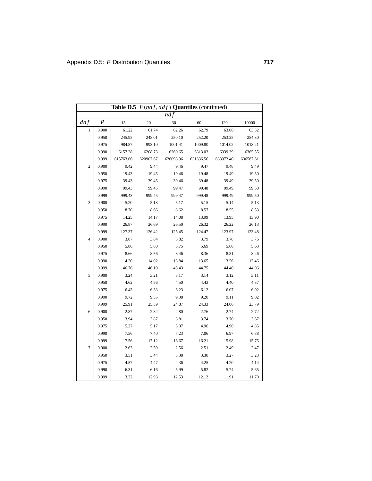|                         | Table D.5 $F(ndf, ddf)$ Quantiles (continued) |           |           |           |           |           |           |  |  |  |  |  |
|-------------------------|-----------------------------------------------|-----------|-----------|-----------|-----------|-----------|-----------|--|--|--|--|--|
|                         |                                               |           |           | nd f      |           |           |           |  |  |  |  |  |
| ddf                     | $\boldsymbol{P}$                              | 15        | 20        | 30        | 60        | 120       | 10000     |  |  |  |  |  |
| 1                       | 0.900                                         | 61.22     | 61.74     | 62.26     | 62.79     | 63.06     | 63.32     |  |  |  |  |  |
|                         | 0.950                                         | 245.95    | 248.01    | 250.10    | 252.20    | 253.25    | 254.30    |  |  |  |  |  |
|                         | 0.975                                         | 984.87    | 993.10    | 1001.41   | 1009.80   | 1014.02   | 1018.21   |  |  |  |  |  |
|                         | 0.990                                         | 6157.28   | 6208.73   | 6260.65   | 6313.03   | 6339.39   | 6365.55   |  |  |  |  |  |
|                         | 0.999                                         | 615763.66 | 620907.67 | 626098.96 | 631336.56 | 633972.40 | 636587.61 |  |  |  |  |  |
| $\overline{\mathbf{c}}$ | 0.900                                         | 9.42      | 9.44      | 9.46      | 9.47      | 9.48      | 9.49      |  |  |  |  |  |
|                         | 0.950                                         | 19.43     | 19.45     | 19.46     | 19.48     | 19.49     | 19.50     |  |  |  |  |  |
|                         | 0.975                                         | 39.43     | 39.45     | 39.46     | 39.48     | 39.49     | 39.50     |  |  |  |  |  |
|                         | 0.990                                         | 99.43     | 99.45     | 99.47     | 99.48     | 99.49     | 99.50     |  |  |  |  |  |
|                         | 0.999                                         | 999.43    | 999.45    | 999.47    | 999.48    | 999.49    | 999.50    |  |  |  |  |  |
| 3                       | 0.900                                         | 5.20      | 5.18      | 5.17      | 5.15      | 5.14      | 5.13      |  |  |  |  |  |
|                         | 0.950                                         | 8.70      | 8.66      | 8.62      | 8.57      | 8.55      | 8.53      |  |  |  |  |  |
|                         | 0.975                                         | 14.25     | 14.17     | 14.08     | 13.99     | 13.95     | 13.90     |  |  |  |  |  |
|                         | 0.990                                         | 26.87     | 26.69     | 26.50     | 26.32     | 26.22     | 26.13     |  |  |  |  |  |
|                         | 0.999                                         | 127.37    | 126.42    | 125.45    | 124.47    | 123.97    | 123.48    |  |  |  |  |  |
| $\overline{4}$          | 0.900                                         | 3.87      | 3.84      | 3.82      | 3.79      | 3.78      | 3.76      |  |  |  |  |  |
|                         | 0.950                                         | 5.86      | 5.80      | 5.75      | 5.69      | 5.66      | 5.63      |  |  |  |  |  |
|                         | 0.975                                         | 8.66      | 8.56      | 8.46      | 8.36      | 8.31      | 8.26      |  |  |  |  |  |
|                         | 0.990                                         | 14.20     | 14.02     | 13.84     | 13.65     | 13.56     | 13.46     |  |  |  |  |  |
|                         | 0.999                                         | 46.76     | 46.10     | 45.43     | 44.75     | 44.40     | 44.06     |  |  |  |  |  |
| 5                       | 0.900                                         | 3.24      | 3.21      | 3.17      | 3.14      | 3.12      | 3.11      |  |  |  |  |  |
|                         | 0.950                                         | 4.62      | 4.56      | 4.50      | 4.43      | 4.40      | 4.37      |  |  |  |  |  |
|                         | 0.975                                         | 6.43      | 6.33      | 6.23      | 6.12      | 6.07      | 6.02      |  |  |  |  |  |
|                         | 0.990                                         | 9.72      | 9.55      | 9.38      | 9.20      | 9.11      | 9.02      |  |  |  |  |  |
|                         | 0.999                                         | 25.91     | 25.39     | 24.87     | 24.33     | 24.06     | 23.79     |  |  |  |  |  |
| 6                       | 0.900                                         | 2.87      | 2.84      | 2.80      | 2.76      | 2.74      | 2.72      |  |  |  |  |  |
|                         | 0.950                                         | 3.94      | 3.87      | 3.81      | 3.74      | 3.70      | 3.67      |  |  |  |  |  |
|                         | 0.975                                         | 5.27      | 5.17      | 5.07      | 4.96      | 4.90      | 4.85      |  |  |  |  |  |
|                         | 0.990                                         | 7.56      | 7.40      | 7.23      | 7.06      | 6.97      | 6.88      |  |  |  |  |  |
|                         | 0.999                                         | 17.56     | 17.12     | 16.67     | 16.21     | 15.98     | 15.75     |  |  |  |  |  |
| $\tau$                  | 0.900                                         | 2.63      | 2.59      | 2.56      | 2.51      | 2.49      | 2.47      |  |  |  |  |  |
|                         | 0.950                                         | 3.51      | 3.44      | 3.38      | 3.30      | 3.27      | 3.23      |  |  |  |  |  |
|                         | 0.975                                         | 4.57      | 4.47      | 4.36      | 4.25      | 4.20      | 4.14      |  |  |  |  |  |
|                         | 0.990                                         | 6.31      | 6.16      | 5.99      | 5.82      | 5.74      | 5.65      |  |  |  |  |  |
|                         | 0.999                                         | 13.32     | 12.93     | 12.53     | 12.12     | 11.91     | 11.70     |  |  |  |  |  |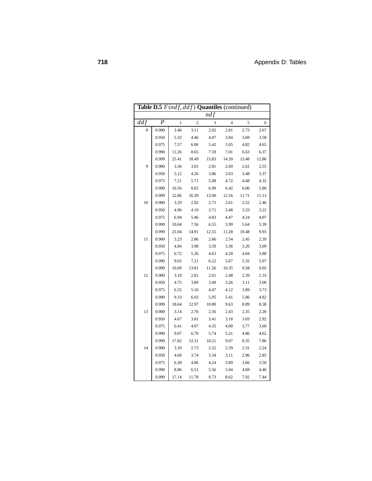|                  | Table D.5 $F(ndf, ddf)$ Quantiles (continued) |              |                |       |                |       |       |  |  |  |  |  |
|------------------|-----------------------------------------------|--------------|----------------|-------|----------------|-------|-------|--|--|--|--|--|
|                  |                                               |              |                | ndf   |                |       |       |  |  |  |  |  |
| $dd\overline{f}$ | $\boldsymbol{P}$                              | $\mathbf{1}$ | $\overline{2}$ | 3     | $\overline{4}$ | 5     | 6     |  |  |  |  |  |
| 8                | 0.900                                         | 3.46         | 3.11           | 2.92  | 2.81           | 2.73  | 2.67  |  |  |  |  |  |
|                  | 0.950                                         | 5.32         | 4.46           | 4.07  | 3.84           | 3.69  | 3.58  |  |  |  |  |  |
|                  | 0.975                                         | 7.57         | 6.06           | 5.42  | 5.05           | 4.82  | 4.65  |  |  |  |  |  |
|                  | 0.990                                         | 11.26        | 8.65           | 7.59  | 7.01           | 6.63  | 6.37  |  |  |  |  |  |
|                  | 0.999                                         | 25.41        | 18.49          | 15.83 | 14.39          | 13.48 | 12.86 |  |  |  |  |  |
| 9                | 0.900                                         | 3.36         | 3.01           | 2.81  | 2.69           | 2.61  | 2.55  |  |  |  |  |  |
|                  | 0.950                                         | 5.12         | 4.26           | 3.86  | 3.63           | 3.48  | 3.37  |  |  |  |  |  |
|                  | 0.975                                         | 7.21         | 5.71           | 5.08  | 4.72           | 4.48  | 4.32  |  |  |  |  |  |
|                  | 0.990                                         | 10.56        | 8.02           | 6.99  | 6.42           | 6.06  | 5.80  |  |  |  |  |  |
|                  | 0.999                                         | 22.86        | 16.39          | 13.90 | 12.56          | 11.71 | 11.13 |  |  |  |  |  |
| 10               | 0.900                                         | 3.29         | 2.92           | 2.73  | 2.61           | 2.52  | 2.46  |  |  |  |  |  |
|                  | 0.950                                         | 4.96         | 4.10           | 3.71  | 3.48           | 3.33  | 3.22  |  |  |  |  |  |
|                  | 0.975                                         | 6.94         | 5.46           | 4.83  | 4.47           | 4.24  | 4.07  |  |  |  |  |  |
|                  | 0.990                                         | 10.04        | 7.56           | 6.55  | 5.99           | 5.64  | 5.39  |  |  |  |  |  |
|                  | 0.999                                         | 21.04        | 14.91          | 12.55 | 11.28          | 10.48 | 9.93  |  |  |  |  |  |
| 11               | 0.900                                         | 3.23         | 2.86           | 2.66  | 2.54           | 2.45  | 2.39  |  |  |  |  |  |
|                  | 0.950                                         | 4.84         | 3.98           | 3.59  | 3.36           | 3.20  | 3.09  |  |  |  |  |  |
|                  | 0.975                                         | 6.72         | 5.26           | 4.63  | 4.28           | 4.04  | 3.88  |  |  |  |  |  |
|                  | 0.990                                         | 9.65         | 7.21           | 6.22  | 5.67           | 5.32  | 5.07  |  |  |  |  |  |
|                  | 0.999                                         | 19.69        | 13.81          | 11.56 | 10.35          | 9.58  | 9.05  |  |  |  |  |  |
| 12               | 0.900                                         | 3.18         | 2.81           | 2.61  | 2.48           | 2.39  | 2.33  |  |  |  |  |  |
|                  | 0.950                                         | 4.75         | 3.89           | 3.49  | 3.26           | 3.11  | 3.00  |  |  |  |  |  |
|                  | 0.975                                         | 6.55         | 5.10           | 4.47  | 4.12           | 3.89  | 3.73  |  |  |  |  |  |
|                  | 0.990                                         | 9.33         | 6.93           | 5.95  | 5.41           | 5.06  | 4.82  |  |  |  |  |  |
|                  | 0.999                                         | 18.64        | 12.97          | 10.80 | 9.63           | 8.89  | 8.38  |  |  |  |  |  |
| 13               | 0.900                                         | 3.14         | 2.76           | 2.56  | 2.43           | 2.35  | 2.28  |  |  |  |  |  |
|                  | 0.950                                         | 4.67         | 3.81           | 3.41  | 3.18           | 3.03  | 2.92  |  |  |  |  |  |
|                  | 0.975                                         | 6.41         | 4.97           | 4.35  | 4.00           | 3.77  | 3.60  |  |  |  |  |  |
|                  | 0.990                                         | 9.07         | 6.70           | 5.74  | 5.21           | 4.86  | 4.62  |  |  |  |  |  |
|                  | 0.999                                         | 17.82        | 12.31          | 10.21 | 9.07           | 8.35  | 7.86  |  |  |  |  |  |
| 14               | 0.900                                         | 3.10         | 2.73           | 2.52  | 2.39           | 2.31  | 2.24  |  |  |  |  |  |
|                  | 0.950                                         | 4.60         | 3.74           | 3.34  | 3.11           | 2.96  | 2.85  |  |  |  |  |  |
|                  | 0.975                                         | 6.30         | 4.86           | 4.24  | 3.89           | 3.66  | 3.50  |  |  |  |  |  |
|                  | 0.990                                         | 8.86         | 6.51           | 5.56  | 5.04           | 4.69  | 4.46  |  |  |  |  |  |
|                  | 0.999                                         | 17.14        | 11.78          | 9.73  | 8.62           | 7.92  | 7.44  |  |  |  |  |  |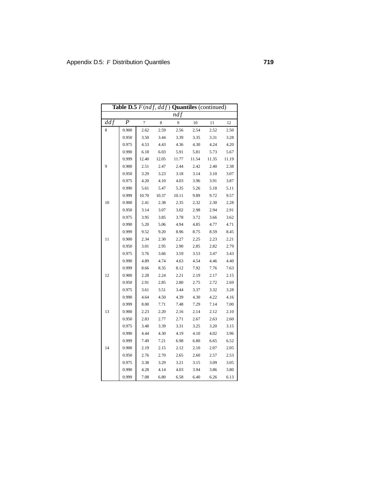|     | Table D.5 $F(ndf, ddf)$ Quantiles (continued) |                |       |       |       |       |       |  |  |  |  |  |
|-----|-----------------------------------------------|----------------|-------|-------|-------|-------|-------|--|--|--|--|--|
|     |                                               |                |       | ndf   |       |       |       |  |  |  |  |  |
| ddf | $\boldsymbol{P}$                              | $\overline{7}$ | 8     | 9     | 10    | 11    | 12    |  |  |  |  |  |
| 8   | 0.900                                         | 2.62           | 2.59  | 2.56  | 2.54  | 2.52  | 2.50  |  |  |  |  |  |
|     | 0.950                                         | 3.50           | 3.44  | 3.39  | 3.35  | 3.31  | 3.28  |  |  |  |  |  |
|     | 0.975                                         | 4.53           | 4.43  | 4.36  | 4.30  | 4.24  | 4.20  |  |  |  |  |  |
|     | 0.990                                         | 6.18           | 6.03  | 5.91  | 5.81  | 5.73  | 5.67  |  |  |  |  |  |
|     | 0.999                                         | 12.40          | 12.05 | 11.77 | 11.54 | 11.35 | 11.19 |  |  |  |  |  |
| 9   | 0.900                                         | 2.51           | 2.47  | 2.44  | 2.42  | 2.40  | 2.38  |  |  |  |  |  |
|     | 0.950                                         | 3.29           | 3.23  | 3.18  | 3.14  | 3.10  | 3.07  |  |  |  |  |  |
|     | 0.975                                         | 4.20           | 4.10  | 4.03  | 3.96  | 3.91  | 3.87  |  |  |  |  |  |
|     | 0.990                                         | 5.61           | 5.47  | 5.35  | 5.26  | 5.18  | 5.11  |  |  |  |  |  |
|     | 0.999                                         | 10.70          | 10.37 | 10.11 | 9.89  | 9.72  | 9.57  |  |  |  |  |  |
| 10  | 0.900                                         | 2.41           | 2.38  | 2.35  | 2.32  | 2.30  | 2.28  |  |  |  |  |  |
|     | 0.950                                         | 3.14           | 3.07  | 3.02  | 2.98  | 2.94  | 2.91  |  |  |  |  |  |
|     | 0.975                                         | 3.95           | 3.85  | 3.78  | 3.72  | 3.66  | 3.62  |  |  |  |  |  |
|     | 0.990                                         | 5.20           | 5.06  | 4.94  | 4.85  | 4.77  | 4.71  |  |  |  |  |  |
|     | 0.999                                         | 9.52           | 9.20  | 8.96  | 8.75  | 8.59  | 8.45  |  |  |  |  |  |
| 11  | 0.900                                         | 2.34           | 2.30  | 2.27  | 2.25  | 2.23  | 2.21  |  |  |  |  |  |
|     | 0.950                                         | 3.01           | 2.95  | 2.90  | 2.85  | 2.82  | 2.79  |  |  |  |  |  |
|     | 0.975                                         | 3.76           | 3.66  | 3.59  | 3.53  | 3.47  | 3.43  |  |  |  |  |  |
|     | 0.990                                         | 4.89           | 4.74  | 4.63  | 4.54  | 4.46  | 4.40  |  |  |  |  |  |
|     | 0.999                                         | 8.66           | 8.35  | 8.12  | 7.92  | 7.76  | 7.63  |  |  |  |  |  |
| 12  | 0.900                                         | 2.28           | 2.24  | 2.21  | 2.19  | 2.17  | 2.15  |  |  |  |  |  |
|     | 0.950                                         | 2.91           | 2.85  | 2.80  | 2.75  | 2.72  | 2.69  |  |  |  |  |  |
|     | 0.975                                         | 3.61           | 3.51  | 3.44  | 3.37  | 3.32  | 3.28  |  |  |  |  |  |
|     | 0.990                                         | 4.64           | 4.50  | 4.39  | 4.30  | 4.22  | 4.16  |  |  |  |  |  |
|     | 0.999                                         | 8.00           | 7.71  | 7.48  | 7.29  | 7.14  | 7.00  |  |  |  |  |  |
| 13  | 0.900                                         | 2.23           | 2.20  | 2.16  | 2.14  | 2.12  | 2.10  |  |  |  |  |  |
|     | 0.950                                         | 2.83           | 2.77  | 2.71  | 2.67  | 2.63  | 2.60  |  |  |  |  |  |
|     | 0.975                                         | 3.48           | 3.39  | 3.31  | 3.25  | 3.20  | 3.15  |  |  |  |  |  |
|     | 0.990                                         | 4.44           | 4.30  | 4.19  | 4.10  | 4.02  | 3.96  |  |  |  |  |  |
|     | 0.999                                         | 7.49           | 7.21  | 6.98  | 6.80  | 6.65  | 6.52  |  |  |  |  |  |
| 14  | 0.900                                         | 2.19           | 2.15  | 2.12  | 2.10  | 2.07  | 2.05  |  |  |  |  |  |
|     | 0.950                                         | 2.76           | 2.70  | 2.65  | 2.60  | 2.57  | 2.53  |  |  |  |  |  |
|     | 0.975                                         | 3.38           | 3.29  | 3.21  | 3.15  | 3.09  | 3.05  |  |  |  |  |  |
|     | 0.990                                         | 4.28           | 4.14  | 4.03  | 3.94  | 3.86  | 3.80  |  |  |  |  |  |
|     | 0.999                                         | 7.08           | 6.80  | 6.58  | 6.40  | 6.26  | 6.13  |  |  |  |  |  |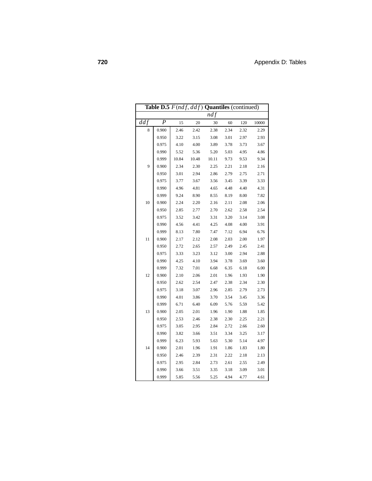|             |                |       |       | <b>Table D.5</b> $F(ndf, ddf)$ <b>Quantiles</b> (continued) |      |      |       |
|-------------|----------------|-------|-------|-------------------------------------------------------------|------|------|-------|
|             |                |       |       | ndf                                                         |      |      |       |
| $dd\bar{f}$ | $\overline{P}$ | 15    | 20    | 30                                                          | 60   | 120  | 10000 |
| 8           | 0.900          | 2.46  | 2.42  | 2.38                                                        | 2.34 | 2.32 | 2.29  |
|             | 0.950          | 3.22  | 3.15  | 3.08                                                        | 3.01 | 2.97 | 2.93  |
|             | 0.975          | 4.10  | 4.00  | 3.89                                                        | 3.78 | 3.73 | 3.67  |
|             | 0.990          | 5.52  | 5.36  | 5.20                                                        | 5.03 | 4.95 | 4.86  |
|             | 0.999          | 10.84 | 10.48 | 10.11                                                       | 9.73 | 9.53 | 9.34  |
| 9           | 0.900          | 2.34  | 2.30  | 2.25                                                        | 2.21 | 2.18 | 2.16  |
|             | 0.950          | 3.01  | 2.94  | 2.86                                                        | 2.79 | 2.75 | 2.71  |
|             | 0.975          | 3.77  | 3.67  | 3.56                                                        | 3.45 | 3.39 | 3.33  |
|             | 0.990          | 4.96  | 4.81  | 4.65                                                        | 4.48 | 4.40 | 4.31  |
|             | 0.999          | 9.24  | 8.90  | 8.55                                                        | 8.19 | 8.00 | 7.82  |
| 10          | 0.900          | 2.24  | 2.20  | 2.16                                                        | 2.11 | 2.08 | 2.06  |
|             | 0.950          | 2.85  | 2.77  | 2.70                                                        | 2.62 | 2.58 | 2.54  |
|             | 0.975          | 3.52  | 3.42  | 3.31                                                        | 3.20 | 3.14 | 3.08  |
|             | 0.990          | 4.56  | 4.41  | 4.25                                                        | 4.08 | 4.00 | 3.91  |
|             | 0.999          | 8.13  | 7.80  | 7.47                                                        | 7.12 | 6.94 | 6.76  |
| 11          | 0.900          | 2.17  | 2.12  | 2.08                                                        | 2.03 | 2.00 | 1.97  |
|             | 0.950          | 2.72  | 2.65  | 2.57                                                        | 2.49 | 2.45 | 2.41  |
|             | 0.975          | 3.33  | 3.23  | 3.12                                                        | 3.00 | 2.94 | 2.88  |
|             | 0.990          | 4.25  | 4.10  | 3.94                                                        | 3.78 | 3.69 | 3.60  |
|             | 0.999          | 7.32  | 7.01  | 6.68                                                        | 6.35 | 6.18 | 6.00  |
| 12          | 0.900          | 2.10  | 2.06  | 2.01                                                        | 1.96 | 1.93 | 1.90  |
|             | 0.950          | 2.62  | 2.54  | 2.47                                                        | 2.38 | 2.34 | 2.30  |
|             | 0.975          | 3.18  | 3.07  | 2.96                                                        | 2.85 | 2.79 | 2.73  |
|             | 0.990          | 4.01  | 3.86  | 3.70                                                        | 3.54 | 3.45 | 3.36  |
|             | 0.999          | 6.71  | 6.40  | 6.09                                                        | 5.76 | 5.59 | 5.42  |
| 13          | 0.900          | 2.05  | 2.01  | 1.96                                                        | 1.90 | 1.88 | 1.85  |
|             | 0.950          | 2.53  | 2.46  | 2.38                                                        | 2.30 | 2.25 | 2.21  |
|             | 0.975          | 3.05  | 2.95  | 2.84                                                        | 2.72 | 2.66 | 2.60  |
|             | 0.990          | 3.82  | 3.66  | 3.51                                                        | 3.34 | 3.25 | 3.17  |
|             | 0.999          | 6.23  | 5.93  | 5.63                                                        | 5.30 | 5.14 | 4.97  |
| 14          | 0.900          | 2.01  | 1.96  | 1.91                                                        | 1.86 | 1.83 | 1.80  |
|             | 0.950          | 2.46  | 2.39  | 2.31                                                        | 2.22 | 2.18 | 2.13  |
|             | 0.975          | 2.95  | 2.84  | 2.73                                                        | 2.61 | 2.55 | 2.49  |
|             | 0.990          | 3.66  | 3.51  | 3.35                                                        | 3.18 | 3.09 | 3.01  |
|             | 0.999          | 5.85  | 5.56  | 5.25                                                        | 4.94 | 4.77 | 4.61  |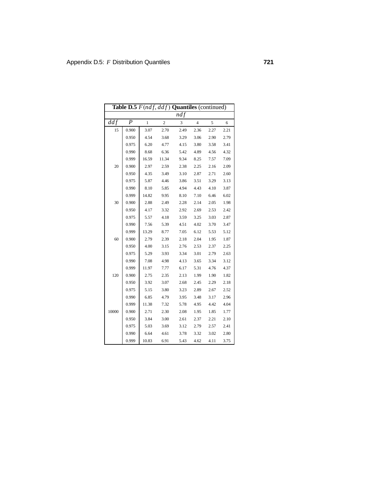|       | Table D.5 $F(ndf, ddf)$ Quantiles (continued) |              |                |      |                |      |      |
|-------|-----------------------------------------------|--------------|----------------|------|----------------|------|------|
|       |                                               |              |                | ndf  |                |      |      |
| ddf   | $\boldsymbol{P}$                              | $\mathbf{1}$ | $\overline{c}$ | 3    | $\overline{4}$ | 5    | 6    |
| 15    | 0.900                                         | 3.07         | 2.70           | 2.49 | 2.36           | 2.27 | 2.21 |
|       | 0.950                                         | 4.54         | 3.68           | 3.29 | 3.06           | 2.90 | 2.79 |
|       | 0.975                                         | 6.20         | 4.77           | 4.15 | 3.80           | 3.58 | 3.41 |
|       | 0.990                                         | 8.68         | 6.36           | 5.42 | 4.89           | 4.56 | 4.32 |
|       | 0.999                                         | 16.59        | 11.34          | 9.34 | 8.25           | 7.57 | 7.09 |
| 20    | 0.900                                         | 2.97         | 2.59           | 2.38 | 2.25           | 2.16 | 2.09 |
|       | 0.950                                         | 4.35         | 3.49           | 3.10 | 2.87           | 2.71 | 2.60 |
|       | 0.975                                         | 5.87         | 4.46           | 3.86 | 3.51           | 3.29 | 3.13 |
|       | 0.990                                         | 8.10         | 5.85           | 4.94 | 4.43           | 4.10 | 3.87 |
|       | 0.999                                         | 14.82        | 9.95           | 8.10 | 7.10           | 6.46 | 6.02 |
| 30    | 0.900                                         | 2.88         | 2.49           | 2.28 | 2.14           | 2.05 | 1.98 |
|       | 0.950                                         | 4.17         | 3.32           | 2.92 | 2.69           | 2.53 | 2.42 |
|       | 0.975                                         | 5.57         | 4.18           | 3.59 | 3.25           | 3.03 | 2.87 |
|       | 0.990                                         | 7.56         | 5.39           | 4.51 | 4.02           | 3.70 | 3.47 |
|       | 0.999                                         | 13.29        | 8.77           | 7.05 | 6.12           | 5.53 | 5.12 |
| 60    | 0.900                                         | 2.79         | 2.39           | 2.18 | 2.04           | 1.95 | 1.87 |
|       | 0.950                                         | 4.00         | 3.15           | 2.76 | 2.53           | 2.37 | 2.25 |
|       | 0.975                                         | 5.29         | 3.93           | 3.34 | 3.01           | 2.79 | 2.63 |
|       | 0.990                                         | 7.08         | 4.98           | 4.13 | 3.65           | 3.34 | 3.12 |
|       | 0.999                                         | 11.97        | 7.77           | 6.17 | 5.31           | 4.76 | 4.37 |
| 120   | 0.900                                         | 2.75         | 2.35           | 2.13 | 1.99           | 1.90 | 1.82 |
|       | 0.950                                         | 3.92         | 3.07           | 2.68 | 2.45           | 2.29 | 2.18 |
|       | 0.975                                         | 5.15         | 3.80           | 3.23 | 2.89           | 2.67 | 2.52 |
|       | 0.990                                         | 6.85         | 4.79           | 3.95 | 3.48           | 3.17 | 2.96 |
|       | 0.999                                         | 11.38        | 7.32           | 5.78 | 4.95           | 4.42 | 4.04 |
| 10000 | 0.900                                         | 2.71         | 2.30           | 2.08 | 1.95           | 1.85 | 1.77 |
|       | 0.950                                         | 3.84         | 3.00           | 2.61 | 2.37           | 2.21 | 2.10 |
|       | 0.975                                         | 5.03         | 3.69           | 3.12 | 2.79           | 2.57 | 2.41 |
|       | 0.990                                         | 6.64         | 4.61           | 3.78 | 3.32           | 3.02 | 2.80 |
|       | 0.999                                         | 10.83        | 6.91           | 5.43 | 4.62           | 4.11 | 3.75 |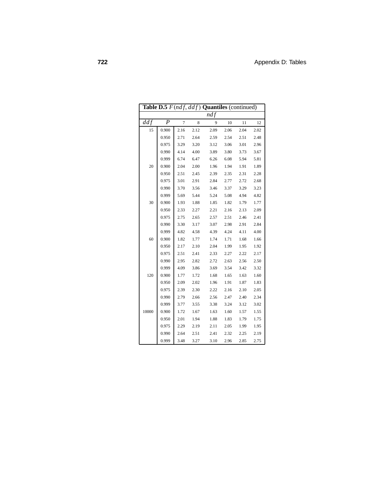|       | <b>Table D.5</b> $F(ndf, ddf)$ <b>Quantiles</b> (continued) |                |      |      |      |      |      |  |  |  |  |  |
|-------|-------------------------------------------------------------|----------------|------|------|------|------|------|--|--|--|--|--|
|       |                                                             |                |      | ndf  |      |      |      |  |  |  |  |  |
| ddf   | $\boldsymbol{P}$                                            | $\overline{7}$ | 8    | 9    | 10   | 11   | 12   |  |  |  |  |  |
| 15    | 0.900                                                       | 2.16           | 2.12 | 2.09 | 2.06 | 2.04 | 2.02 |  |  |  |  |  |
|       | 0.950                                                       | 2.71           | 2.64 | 2.59 | 2.54 | 2.51 | 2.48 |  |  |  |  |  |
|       | 0.975                                                       | 3.29           | 3.20 | 3.12 | 3.06 | 3.01 | 2.96 |  |  |  |  |  |
|       | 0.990                                                       | 4.14           | 4.00 | 3.89 | 3.80 | 3.73 | 3.67 |  |  |  |  |  |
|       | 0.999                                                       | 6.74           | 6.47 | 6.26 | 6.08 | 5.94 | 5.81 |  |  |  |  |  |
| 20    | 0.900                                                       | 2.04           | 2.00 | 1.96 | 1.94 | 1.91 | 1.89 |  |  |  |  |  |
|       | 0.950                                                       | 2.51           | 2.45 | 2.39 | 2.35 | 2.31 | 2.28 |  |  |  |  |  |
|       | 0.975                                                       | 3.01           | 2.91 | 2.84 | 2.77 | 2.72 | 2.68 |  |  |  |  |  |
|       | 0.990                                                       | 3.70           | 3.56 | 3.46 | 3.37 | 3.29 | 3.23 |  |  |  |  |  |
|       | 0.999                                                       | 5.69           | 5.44 | 5.24 | 5.08 | 4.94 | 4.82 |  |  |  |  |  |
| 30    | 0.900                                                       | 1.93           | 1.88 | 1.85 | 1.82 | 1.79 | 1.77 |  |  |  |  |  |
|       | 0.950                                                       | 2.33           | 2.27 | 2.21 | 2.16 | 2.13 | 2.09 |  |  |  |  |  |
|       | 0.975                                                       | 2.75           | 2.65 | 2.57 | 2.51 | 2.46 | 2.41 |  |  |  |  |  |
|       | 0.990                                                       | 3.30           | 3.17 | 3.07 | 2.98 | 2.91 | 2.84 |  |  |  |  |  |
|       | 0.999                                                       | 4.82           | 4.58 | 4.39 | 4.24 | 4.11 | 4.00 |  |  |  |  |  |
| 60    | 0.900                                                       | 1.82           | 1.77 | 1.74 | 1.71 | 1.68 | 1.66 |  |  |  |  |  |
|       | 0.950                                                       | 2.17           | 2.10 | 2.04 | 1.99 | 1.95 | 1.92 |  |  |  |  |  |
|       | 0.975                                                       | 2.51           | 2.41 | 2.33 | 2.27 | 2.22 | 2.17 |  |  |  |  |  |
|       | 0.990                                                       | 2.95           | 2.82 | 2.72 | 2.63 | 2.56 | 2.50 |  |  |  |  |  |
|       | 0.999                                                       | 4.09           | 3.86 | 3.69 | 3.54 | 3.42 | 3.32 |  |  |  |  |  |
| 120   | 0.900                                                       | 1.77           | 1.72 | 1.68 | 1.65 | 1.63 | 1.60 |  |  |  |  |  |
|       | 0.950                                                       | 2.09           | 2.02 | 1.96 | 1.91 | 1.87 | 1.83 |  |  |  |  |  |
|       | 0.975                                                       | 2.39           | 2.30 | 2.22 | 2.16 | 2.10 | 2.05 |  |  |  |  |  |
|       | 0.990                                                       | 2.79           | 2.66 | 2.56 | 2.47 | 2.40 | 2.34 |  |  |  |  |  |
|       | 0.999                                                       | 3.77           | 3.55 | 3.38 | 3.24 | 3.12 | 3.02 |  |  |  |  |  |
| 10000 | 0.900                                                       | 1.72           | 1.67 | 1.63 | 1.60 | 1.57 | 1.55 |  |  |  |  |  |
|       | 0.950                                                       | 2.01           | 1.94 | 1.88 | 1.83 | 1.79 | 1.75 |  |  |  |  |  |
|       | 0.975                                                       | 2.29           | 2.19 | 2.11 | 2.05 | 1.99 | 1.95 |  |  |  |  |  |
|       | 0.990                                                       | 2.64           | 2.51 | 2.41 | 2.32 | 2.25 | 2.19 |  |  |  |  |  |
|       | 0.999                                                       | 3.48           | 3.27 | 3.10 | 2.96 | 2.85 | 2.75 |  |  |  |  |  |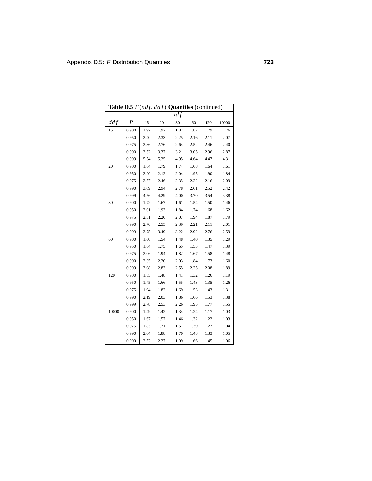|       | Table D.5 $F(ndf, ddf)$ Quantiles (continued) |      |      |      |      |      |       |  |  |  |  |  |
|-------|-----------------------------------------------|------|------|------|------|------|-------|--|--|--|--|--|
|       |                                               |      |      | ndf  |      |      |       |  |  |  |  |  |
| ddf   | $\boldsymbol{P}$                              | 15   | 20   | 30   | 60   | 120  | 10000 |  |  |  |  |  |
| 15    | 0.900                                         | 1.97 | 1.92 | 1.87 | 1.82 | 1.79 | 1.76  |  |  |  |  |  |
|       | 0.950                                         | 2.40 | 2.33 | 2.25 | 2.16 | 2.11 | 2.07  |  |  |  |  |  |
|       | 0.975                                         | 2.86 | 2.76 | 2.64 | 2.52 | 2.46 | 2.40  |  |  |  |  |  |
|       | 0.990                                         | 3.52 | 3.37 | 3.21 | 3.05 | 2.96 | 2.87  |  |  |  |  |  |
|       | 0.999                                         | 5.54 | 5.25 | 4.95 | 4.64 | 4.47 | 4.31  |  |  |  |  |  |
| 20    | 0.900                                         | 1.84 | 1.79 | 1.74 | 1.68 | 1.64 | 1.61  |  |  |  |  |  |
|       | 0.950                                         | 2.20 | 2.12 | 2.04 | 1.95 | 1.90 | 1.84  |  |  |  |  |  |
|       | 0.975                                         | 2.57 | 2.46 | 2.35 | 2.22 | 2.16 | 2.09  |  |  |  |  |  |
|       | 0.990                                         | 3.09 | 2.94 | 2.78 | 2.61 | 2.52 | 2.42  |  |  |  |  |  |
|       | 0.999                                         | 4.56 | 4.29 | 4.00 | 3.70 | 3.54 | 3.38  |  |  |  |  |  |
| 30    | 0.900                                         | 1.72 | 1.67 | 1.61 | 1.54 | 1.50 | 1.46  |  |  |  |  |  |
|       | 0.950                                         | 2.01 | 1.93 | 1.84 | 1.74 | 1.68 | 1.62  |  |  |  |  |  |
|       | 0.975                                         | 2.31 | 2.20 | 2.07 | 1.94 | 1.87 | 1.79  |  |  |  |  |  |
|       | 0.990                                         | 2.70 | 2.55 | 2.39 | 2.21 | 2.11 | 2.01  |  |  |  |  |  |
|       | 0.999                                         | 3.75 | 3.49 | 3.22 | 2.92 | 2.76 | 2.59  |  |  |  |  |  |
| 60    | 0.900                                         | 1.60 | 1.54 | 1.48 | 1.40 | 1.35 | 1.29  |  |  |  |  |  |
|       | 0.950                                         | 1.84 | 1.75 | 1.65 | 1.53 | 1.47 | 1.39  |  |  |  |  |  |
|       | 0.975                                         | 2.06 | 1.94 | 1.82 | 1.67 | 1.58 | 1.48  |  |  |  |  |  |
|       | 0.990                                         | 2.35 | 2.20 | 2.03 | 1.84 | 1.73 | 1.60  |  |  |  |  |  |
|       | 0.999                                         | 3.08 | 2.83 | 2.55 | 2.25 | 2.08 | 1.89  |  |  |  |  |  |
| 120   | 0.900                                         | 1.55 | 1.48 | 1.41 | 1.32 | 1.26 | 1.19  |  |  |  |  |  |
|       | 0.950                                         | 1.75 | 1.66 | 1.55 | 1.43 | 1.35 | 1.26  |  |  |  |  |  |
|       | 0.975                                         | 1.94 | 1.82 | 1.69 | 1.53 | 1.43 | 1.31  |  |  |  |  |  |
|       | 0.990                                         | 2.19 | 2.03 | 1.86 | 1.66 | 1.53 | 1.38  |  |  |  |  |  |
|       | 0.999                                         | 2.78 | 2.53 | 2.26 | 1.95 | 1.77 | 1.55  |  |  |  |  |  |
| 10000 | 0.900                                         | 1.49 | 1.42 | 1.34 | 1.24 | 1.17 | 1.03  |  |  |  |  |  |
|       | 0.950                                         | 1.67 | 1.57 | 1.46 | 1.32 | 1.22 | 1.03  |  |  |  |  |  |
|       | 0.975                                         | 1.83 | 1.71 | 1.57 | 1.39 | 1.27 | 1.04  |  |  |  |  |  |
|       | 0.990                                         | 2.04 | 1.88 | 1.70 | 1.48 | 1.33 | 1.05  |  |  |  |  |  |
|       | 0.999                                         | 2.52 | 2.27 | 1.99 | 1.66 | 1.45 | 1.06  |  |  |  |  |  |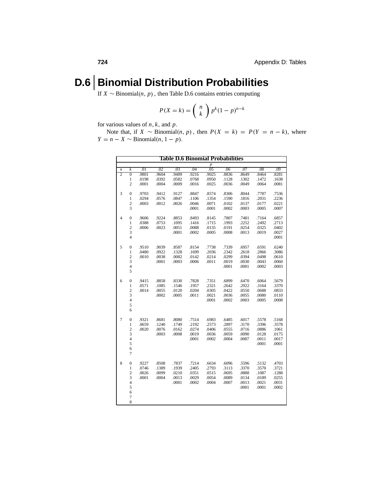#### **D.6 Binomial Distribution Probabilities**

If *X* ∼ Binomial $(n, p)$ , then Table D.6 contains entries computing

$$
P(X = k) = {n \choose k} p^{k} (1-p)^{n-k}
$$

for various values of *n*, *k*, and *p*.

Note that, if *X* ∼ Binomial(*n*, *p*), then  $P(X = k) = P(Y = n - k)$ , where  $Y = n - X \sim \text{Binomial}(n, 1 - p).$ 

| <b>Table D.6 Binomial Probabilities</b> |                                |       |                |                |                |                  |                |                |                |                |  |
|-----------------------------------------|--------------------------------|-------|----------------|----------------|----------------|------------------|----------------|----------------|----------------|----------------|--|
|                                         |                                |       |                |                |                | $\boldsymbol{p}$ |                |                |                |                |  |
| $\boldsymbol{n}$<br>$\overline{2}$      | k                              | .01   | .02            | .03            | .04            | .05              | .06            | .07            | .08            | .09            |  |
|                                         | $\overline{0}$                 | .9801 | .9604          | .9409          | .9216          | .9025            | .8836          | .8649          | .8464          | .8281          |  |
|                                         | $\mathbf{1}$<br>$\overline{2}$ | .0198 | .0392          | .0582          | .0768          | .0950            | .1128          | .1302          | .1472          | .1638          |  |
|                                         |                                | .0001 | .0004          | .0009          | .0016          | .0025            | .0036          | .0049          | .0064          | .0081          |  |
| 3                                       | $\overline{0}$                 | .9703 | .9412          | .9127          | .8847          | .8574            | .8306          | .8044          | .7787          | .7536          |  |
|                                         | $\mathbf{1}$                   | .0294 | .0576          | .0847          | .1106          | .1354            | .1590          | .1816          | .2031          | .2236          |  |
|                                         | 2                              | .0003 | .0012          | .0026          | .0046          | .0071            | .0102          | .0137          | .0177          | .0221          |  |
|                                         | 3                              |       |                |                | .0001          | .0001            | .0002          | .0003          | .0005          | .0007          |  |
| 4                                       | $\boldsymbol{0}$               | .9606 | .9224          | .8853          | .8493          | .8145            | .7807          | .7481          | .7164          | .6857          |  |
|                                         | $\mathbf{1}$                   | .0388 | .0753          | .1095          | .1416          | .1715            | .1993          | .2252          | .2492          | .2713          |  |
|                                         | $\overline{\mathbf{c}}$        | .0006 | .0023          | .0051          | .0088          | .0135            | .0191          | .0254          | .0325          | .0402          |  |
|                                         | 3                              |       |                | .0001          | .0002          | .0005            | .0008          | .0013          | .0019          | .0027          |  |
|                                         | $\overline{4}$                 |       |                |                |                |                  |                |                |                | .0001          |  |
|                                         |                                | .9510 |                |                |                |                  |                |                |                |                |  |
| 5                                       | 0<br>$\mathbf{1}$              | .0480 | .9039<br>.0922 | .8587<br>.1328 | .8154<br>.1699 | .7738<br>.2036   | .7339<br>.2342 | .6957<br>.2618 | .6591<br>.2866 | .6240<br>.3086 |  |
|                                         | $\overline{c}$                 | .0010 | .0038          | .0082          | .0142          | .0214            | .0299          | .0394          | .0498          | .0610          |  |
|                                         | 3                              |       | .0001          | .0003          | .0006          | .0011            | .0019          | .0030          | .0043          | .0060          |  |
|                                         | $\overline{4}$                 |       |                |                |                |                  | .0001          | .0001          | .0002          | .0003          |  |
|                                         | 5                              |       |                |                |                |                  |                |                |                |                |  |
|                                         |                                |       |                |                |                |                  |                |                |                |                |  |
| 6                                       | $\boldsymbol{0}$               | .9415 | .8858          | .8330          | .7828          | .7351            | .6899          | .6470          | .6064          | .5679          |  |
|                                         | $\mathbf{1}$                   | .0571 | .1085          | .1546          | .1957          | .2321            | .2642          | .2922          | .3164          | .3370          |  |
|                                         | $\overline{c}$                 | .0014 | .0055          | .0120          | .0204          | .0305            | .0422          | .0550          | .0688          | .0833          |  |
|                                         | 3                              |       | .0002          | .0005          | .0011          | .0021            | .0036          | .0055          | .0080          | .0110          |  |
|                                         | $\overline{4}$<br>5            |       |                |                |                | .0001            | .0002          | .0003          | .0005          | .0008          |  |
|                                         | 6                              |       |                |                |                |                  |                |                |                |                |  |
|                                         |                                |       |                |                |                |                  |                |                |                |                |  |
| 7                                       | $\boldsymbol{0}$               | .9321 | .8681          | .8080          | .7514          | .6983            | .6485          | .6017          | .5578          | .5168          |  |
|                                         | $\mathbf{1}$                   | .0659 | .1240          | .1749          | .2192          | .2573            | .2897          | .3170          | .3396          | .3578          |  |
|                                         | $\overline{c}$                 | .0020 | .0076          | .0162          | .0274          | .0406            | .0555          | .0716          | .0886          | .1061          |  |
|                                         | 3                              |       | .0003          | .0008          | .0019          | .0036            | .0059          | .0090          | .0128          | .0175          |  |
|                                         | $\overline{4}$<br>5            |       |                |                | .0001          | .0002            | .0004          | .0007          | .0011          | .0017          |  |
|                                         | 6                              |       |                |                |                |                  |                |                | .0001          | .0001          |  |
|                                         | 7                              |       |                |                |                |                  |                |                |                |                |  |
|                                         |                                |       |                |                |                |                  |                |                |                |                |  |
| 8                                       | $\boldsymbol{0}$               | .9227 | .8508          | .7837          | .7214          | .6634            | .6096          | .5596          | .5132          | .4703          |  |
|                                         | $\mathbf{1}$                   | .0746 | .1389          | .1939          | .2405          | .2793            | .3113          | .3370          | .3570          | .3721          |  |
|                                         | $\overline{c}$                 | .0026 | .0099          | .0210          | .0351          | .0515            | .0695          | .0888          | .1087          | .1288          |  |
|                                         | 3                              | .0001 | .0004          | .0013          | .0029          | .0054            | .0089          | .0134          | .0189          | .0255          |  |
|                                         | $\overline{\mathbf{4}}$        |       |                | .0001          | .0002          | .0004            | .0007          | .0013          | .0021          | .0031          |  |
|                                         | 5<br>6                         |       |                |                |                |                  |                | .0001          | .0001          | .0002          |  |
|                                         | 7                              |       |                |                |                |                  |                |                |                |                |  |
|                                         | 8                              |       |                |                |                |                  |                |                |                |                |  |
|                                         |                                |       |                |                |                |                  |                |                |                |                |  |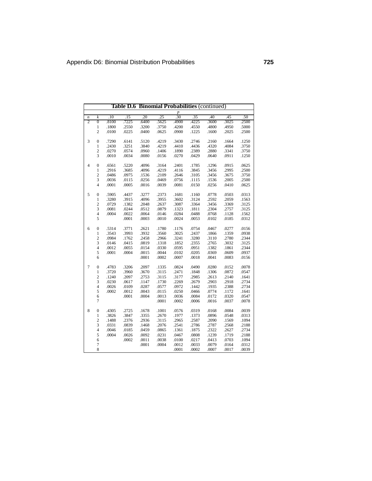|                  | <b>Binomial Probabilities (continued)</b><br>Table D.6 |       |       |       |       |                |       |       |       |       |  |  |
|------------------|--------------------------------------------------------|-------|-------|-------|-------|----------------|-------|-------|-------|-------|--|--|
|                  |                                                        |       |       |       |       | $\frac{p}{30}$ |       |       |       |       |  |  |
| $\boldsymbol{n}$ | $\boldsymbol{k}$                                       | .10   | .15   | .20   | .25   |                | .35   | .40   | .45   | .50   |  |  |
| $\overline{2}$   | $\overline{0}$                                         | .8100 | .7225 | .6400 | .5625 | .4900          | .4225 | .3600 | .3025 | .2500 |  |  |
|                  | 1                                                      | .1800 | .2550 | .3200 | .3750 | .4200          | .4550 | .4800 | .4950 | .5000 |  |  |
|                  | $\overline{c}$                                         | .0100 | .0225 | .0400 | .0625 | .0900          | .1225 | .1600 | .2025 | .2500 |  |  |
| 3                | $\boldsymbol{0}$                                       | .7290 | .6141 | .5120 | .4219 | .3430          | .2746 | .2160 | .1664 | .1250 |  |  |
|                  | $\mathbf{1}$                                           | .2430 | .3251 | .3840 | .4219 | .4410          | .4436 | .4320 | .4084 | .3750 |  |  |
|                  | $\overline{c}$                                         | .0270 | .0574 | .0960 | .1406 | .1890          | .2389 | .2880 | .3341 | .3750 |  |  |
|                  | 3                                                      | .0010 | .0034 | .0080 | .0156 | .0270          | .0429 | .0640 | .0911 | .1250 |  |  |
| $\overline{4}$   | $\boldsymbol{0}$                                       | .6561 | .5220 | .4096 | .3164 | .2401          | .1785 | .1296 | .0915 | .0625 |  |  |
|                  | 1                                                      | .2916 | .3685 | .4096 | .4219 | .4116          | .3845 | .3456 | .2995 | .2500 |  |  |
|                  | $\overline{c}$                                         | .0486 | .0975 | .1536 | .2109 | .2646          | .3105 | .3456 | .3675 | .3750 |  |  |
|                  | $\overline{3}$                                         | .0036 | .0115 | .0256 | .0469 | .0756          | .1115 | .1536 | .2005 | .2500 |  |  |
|                  | $\overline{4}$                                         | .0001 | .0005 | .0016 | .0039 | .0081          | .0150 | .0256 | .0410 | .0625 |  |  |
| 5                | $\boldsymbol{0}$                                       | .5905 | .4437 | .3277 | .2373 | .1681          | .1160 | .0778 | .0503 | .0313 |  |  |
|                  | $\mathbf{1}$                                           | .3280 | .3915 | .4096 | .3955 | .3602          | .3124 | .2592 | .2059 | .1563 |  |  |
|                  |                                                        | .0729 | .1382 | .2048 | .2637 | .3087          | .3364 | .3456 | .3369 | .3125 |  |  |
|                  | $\frac{2}{3}$                                          | .0081 | .0244 | .0512 | .0879 | .1323          | .1811 | .2304 | .2757 | .3125 |  |  |
|                  | $\overline{4}$                                         | .0004 | .0022 | .0064 | .0146 | .0284          | .0488 | .0768 | .1128 | .1562 |  |  |
|                  | 5                                                      |       | .0001 | .0003 | .0010 | .0024          | .0053 | .0102 | .0185 | .0312 |  |  |
| 6                | $\boldsymbol{0}$                                       | .5314 | .3771 | .2621 | .1780 | .1176          | .0754 | .0467 | .0277 | .0156 |  |  |
|                  | $\mathbf{1}$                                           | .3543 | .3993 | .3932 | .3560 | .3025          | .2437 | .1866 | .1359 | .0938 |  |  |
|                  | $\overline{\mathbf{c}}$                                | .0984 | .1762 | .2458 | .2966 | .3241          | .3280 | .3110 | .2780 | .2344 |  |  |
|                  | 3                                                      | .0146 | .0415 | .0819 | .1318 | .1852          | .2355 | .2765 | .3032 | .3125 |  |  |
|                  | $\overline{4}$                                         | .0012 | .0055 | .0154 | .0330 | .0595          | .0951 | .1382 | .1861 | .2344 |  |  |
|                  | 5                                                      | .0001 | .0004 | .0015 | .0044 | .0102          | .0205 | .0369 | .0609 | .0937 |  |  |
|                  | 6                                                      |       |       | .0001 | .0002 | .0007          | .0018 | .0041 | .0083 | .0156 |  |  |
| $\overline{7}$   | $\boldsymbol{0}$                                       | .4783 | .3206 | .2097 | .1335 | .0824          | .0490 | .0280 | .0152 | .0078 |  |  |
|                  | 1                                                      | .3720 | .3960 | .3670 | .3115 | .2471          | .1848 | .1306 | .0872 | .0547 |  |  |
|                  | $\overline{\mathbf{c}}$                                | .1240 | .2097 | .2753 | .3115 | .3177          | .2985 | .2613 | .2140 | .1641 |  |  |
|                  | 3                                                      | .0230 | .0617 | .1147 | .1730 | .2269          | .2679 | .2903 | .2918 | .2734 |  |  |
|                  | $\overline{4}$                                         | .0026 | .0109 | .0287 | .0577 | .0972          | .1442 | .1935 | .2388 | .2734 |  |  |
|                  | 5                                                      | .0002 | .0012 | .0043 | .0115 | .0250          | .0466 | .0774 | .1172 | .1641 |  |  |
|                  | 6                                                      |       | .0001 | .0004 | .0013 | .0036          | .0084 | .0172 | .0320 | .0547 |  |  |
|                  | $\overline{7}$                                         |       |       |       | .0001 | .0002          | .0006 | .0016 | .0037 | .0078 |  |  |
| 8                | $\boldsymbol{0}$                                       | .4305 | .2725 | .1678 | .1001 | .0576          | .0319 | .0168 | .0084 | .0039 |  |  |
|                  | $\mathbf{1}$                                           | .3826 | .3847 | .3355 | .2670 | .1977          | .1373 | .0896 | .0548 | .0313 |  |  |
|                  |                                                        | .1488 | .2376 | .2936 | .3115 | .2965          | .2587 | .2090 | .1569 | .1094 |  |  |
|                  | $\frac{2}{3}$                                          | .0331 | .0839 | .1468 | .2076 | .2541          | .2786 | .2787 | .2568 | .2188 |  |  |
|                  | $\overline{4}$                                         | .0046 | .0185 | .0459 | .0865 | .1361          | .1875 | .2322 | .2627 | .2734 |  |  |
|                  | 5                                                      | .0004 | .0026 | .0092 | .0231 | .0467          | .0808 | .1239 | .1719 | .2188 |  |  |
|                  | 6                                                      |       | .0002 | .0011 | .0038 | .0100          | .0217 | .0413 | .0703 | .1094 |  |  |
|                  | $\overline{7}$                                         |       |       | .0001 | .0004 | .0012          | .0033 | .0079 | .0164 | .0312 |  |  |
|                  | 8                                                      |       |       |       |       | .0001          | .0002 | .0007 | .0017 | .0039 |  |  |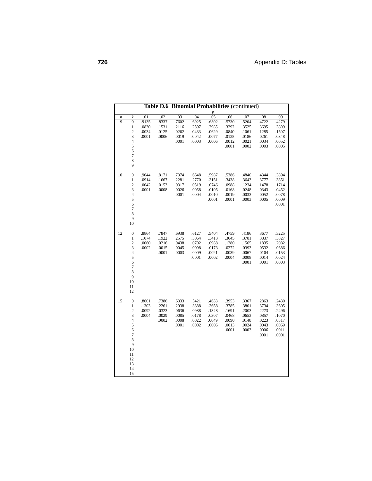|        | <b>Table D.6 Binomial Probabilities (continued)</b> |                |                |                |                |                  |                |                |                |                |  |
|--------|-----------------------------------------------------|----------------|----------------|----------------|----------------|------------------|----------------|----------------|----------------|----------------|--|
|        |                                                     |                |                |                |                | $\boldsymbol{p}$ |                |                |                |                |  |
| n<br>9 | k                                                   | .01            | .02            | .03            | .04            | .05              | .06<br>.5730   | .07            | .08            | .09            |  |
|        | $\overline{0}$<br>$\mathbf{1}$                      | .9135<br>.0830 | .8337<br>.1531 | .7602<br>.2116 | .6925<br>.2597 | .6302<br>.2985   | .3292          | .5204<br>.3525 | .4722<br>.3695 | .4279<br>.3809 |  |
|        | $\overline{c}$                                      | .0034          | .0125          | .0262          | .0433          | .0629            | .0840          | .1061          | .1285          | .1507          |  |
|        | 3                                                   | .0001          | .0006          | .0019          | .0042          | .0077            | .0125          | .0186          | .0261          | .0348          |  |
|        | $\overline{\mathcal{L}}$                            |                |                | .0001          | .0003          | .0006            | .0012          | .0021          | .0034          | .0052          |  |
|        | 5                                                   |                |                |                |                |                  | .0001          | .0002          | .0003          | .0005          |  |
|        | 6                                                   |                |                |                |                |                  |                |                |                |                |  |
|        | $\overline{7}$                                      |                |                |                |                |                  |                |                |                |                |  |
|        | 8                                                   |                |                |                |                |                  |                |                |                |                |  |
|        | 9                                                   |                |                |                |                |                  |                |                |                |                |  |
| 10     | $\boldsymbol{0}$                                    | .9044          | .8171          | .7374          | .6648          | .5987            | .5386          | .4840          | .4344          | .3894          |  |
|        | 1                                                   | .0914          | .1667          | .2281          | .2770          | .3151            | .3438          | .3643          | .3777          | .3851          |  |
|        | $\overline{\mathbf{c}}$                             | .0042          | .0153          | .0317          | .0519          | .0746            | .0988          | .1234          | .1478          | .1714          |  |
|        | 3                                                   | .0001          | .0008          | .0026          | .0058          | .0105            | .0168          | .0248          | .0343          | .0452          |  |
|        | $\overline{\mathcal{L}}$                            |                |                | .0001          | .0004          | .0010            | .0019          | .0033          | .0052          | .0078          |  |
|        | 5                                                   |                |                |                |                | .0001            | .0001          | .0003          | .0005          | .0009          |  |
|        | 6                                                   |                |                |                |                |                  |                |                |                | .0001          |  |
|        | $\overline{7}$                                      |                |                |                |                |                  |                |                |                |                |  |
|        | 8                                                   |                |                |                |                |                  |                |                |                |                |  |
|        | 9                                                   |                |                |                |                |                  |                |                |                |                |  |
|        | 10                                                  |                |                |                |                |                  |                |                |                |                |  |
| 12     | $\boldsymbol{0}$                                    | .8864          | .7847          | .6938          | .6127          | .5404            | .4759          | .4186          | .3677          | .3225          |  |
|        | 1                                                   | .1074          | .1922          | .2575          | .3064          | .3413            | .3645          | .3781          | .3837          | .3827          |  |
|        | $\overline{c}$                                      | .0060          | .0216          | .0438          | .0702          | .0988            | .1280          | .1565          | .1835          | .2082          |  |
|        | 3                                                   | .0002          | .0015          | .0045          | .0098          | .0173            | .0272          | .0393          | .0532          | .0686          |  |
|        | $\overline{\mathbf{4}}$                             |                | .0001          | .0003          | .0009          | .0021            | .0039          | .0067          | .0104          | .0153          |  |
|        | 5                                                   |                |                |                | .0001          | .0002            | .0004          | .0008          | .0014          | .0024          |  |
|        | 6<br>$\overline{7}$                                 |                |                |                |                |                  |                | .0001          | .0001          | .0003          |  |
|        | 8                                                   |                |                |                |                |                  |                |                |                |                |  |
|        | 9                                                   |                |                |                |                |                  |                |                |                |                |  |
|        | 10                                                  |                |                |                |                |                  |                |                |                |                |  |
|        | 11                                                  |                |                |                |                |                  |                |                |                |                |  |
|        | 12                                                  |                |                |                |                |                  |                |                |                |                |  |
|        |                                                     |                |                |                |                |                  |                |                |                |                |  |
| 15     | $\boldsymbol{0}$                                    | .8601          | .7386          | .6333          | .5421          | .4633            | .3953          | .3367          | .2863          | .2430          |  |
|        | $\mathbf{1}$                                        | .1303          | .2261          | .2938          | .3388          | .3658            | .3785          | .3801          | .3734          | .3605          |  |
|        | $\overline{c}$<br>3                                 | .0092<br>.0004 | .0323<br>.0029 | .0636<br>.0085 | .0988<br>.0178 | .1348<br>.0307   | .1691<br>.0468 | .2003<br>.0653 | .2273<br>.0857 | .2496<br>.1070 |  |
|        | $\overline{\mathbf{4}}$                             |                | .0002          | .0008          | .0022          | .0049            | .0090          | .0148          | .0223          | .0317          |  |
|        | 5                                                   |                |                | .0001          | .0002          | .0006            | .0013          | .0024          | .0043          | .0069          |  |
|        | 6                                                   |                |                |                |                |                  | .0001          | .0003          | .0006          | .0011          |  |
|        | $\overline{7}$                                      |                |                |                |                |                  |                |                | .0001          | .0001          |  |
|        | 8                                                   |                |                |                |                |                  |                |                |                |                |  |
|        | 9                                                   |                |                |                |                |                  |                |                |                |                |  |
|        | 10                                                  |                |                |                |                |                  |                |                |                |                |  |
|        | 11                                                  |                |                |                |                |                  |                |                |                |                |  |
|        | 12                                                  |                |                |                |                |                  |                |                |                |                |  |
|        | 13                                                  |                |                |                |                |                  |                |                |                |                |  |
|        | 14                                                  |                |                |                |                |                  |                |                |                |                |  |
|        | 15                                                  |                |                |                |                |                  |                |                |                |                |  |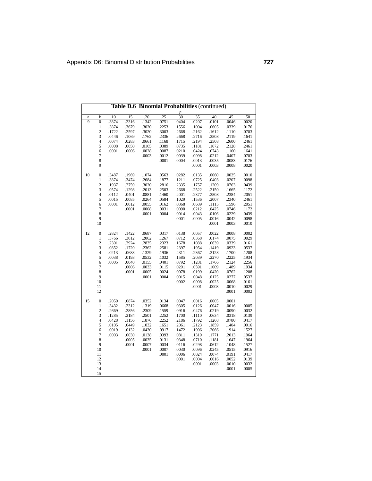| Table D.6 Binomial Probabilities (continued) |                     |                |       |                |                |                  |                |                |                |                |
|----------------------------------------------|---------------------|----------------|-------|----------------|----------------|------------------|----------------|----------------|----------------|----------------|
|                                              |                     |                |       |                |                | $\boldsymbol{p}$ |                |                |                |                |
| $\boldsymbol{n}$                             | k                   | .10            | .15   | .20            | .25            | .30              | .35            | .40            | .45            | .50            |
| 9                                            | $\overline{0}$      | .3874          | .2316 | .1342          | .0751          | .0404            | .0207          | .0101          | .0046          | .0020          |
|                                              | $\mathbf{1}$        | .3874          | .3679 | .3020          | .2253          | .1556            | .1004          | .0605          | .0339          | .0176          |
|                                              | $\overline{c}$      | .1722          | .2597 | .3020          | .3003          | .2668            | .2162          | .1612          | .1110          | .0703          |
|                                              | 3                   | .0446          | .1069 | .1762          | .2336          | .2668            | .2716<br>.2194 | .2508          | .2119          | .1641          |
|                                              | $\overline{4}$<br>5 | .0074<br>.0008 | .0283 | .0661          | .1168          | .1715<br>.0735   |                | .2508          | .2600<br>.2128 | .2461<br>.2461 |
|                                              |                     |                | .0050 | .0165          | .0389<br>.0087 |                  | .1181<br>.0424 | .1672<br>.0743 |                | .1641          |
|                                              | 6<br>$\overline{7}$ | .0001          | .0006 | .0028<br>.0003 | .0012          | .0210<br>.0039   | .0098          | .0212          | .1160<br>.0407 | .0703          |
|                                              | 8                   |                |       |                | .0001          | .0004            | .0013          | .0035          | .0083          | .0176          |
|                                              | 9                   |                |       |                |                |                  | .0001          | .0003          | .0008          | .0020          |
|                                              |                     |                |       |                |                |                  |                |                |                |                |
| 10                                           | $\mathbf{0}$        | .3487          | .1969 | .1074          | .0563          | .0282            | .0135          | .0060          | .0025          | .0010          |
|                                              | $\mathbf{1}$        | .3874          | .3474 | .2684          | .1877          | .1211            | .0725          | .0403          | .0207          | .0098          |
|                                              | $\overline{c}$      | .1937          | .2759 | .3020          | .2816          | .2335            | .1757          | .1209          | .0763          | .0439          |
|                                              | 3                   | .0574          | .1298 | .2013          | .2503          | .2668            | .2522          | .2150          | .1665          | .1172          |
|                                              | $\overline{4}$      | .0112          | .0401 | .0881          | .1460          | .2001            | .2377          | .2508          | .2384          | .2051          |
|                                              | 5                   | .0015          | .0085 | .0264          | .0584          | .1029            | .1536          | .2007          | .2340          | .2461          |
|                                              | 6                   | .0001          | .0012 | .0055          | .0162          | .0368            | .0689          | .1115          | .1596          | .2051          |
|                                              | $\overline{7}$      |                | .0001 | .0008          | .0031          | .0090            | .0212          | .0425          | .0746          | .1172          |
|                                              | 8                   |                |       | .0001          | .0004          | .0014            | .0043          | .0106          | .0229          | .0439          |
|                                              | 9                   |                |       |                |                | .0001            | .0005          | .0016          | .0042          | .0098          |
|                                              | 10                  |                |       |                |                |                  |                | .0001          | .0003          | .0010          |
| 12                                           | $\boldsymbol{0}$    | .2824          | .1422 | .0687          | .0317          | .0138            | .0057          | .0022          | .0008          | .0002          |
|                                              | $\,1$               | .3766          | .3012 | .2062          | .1267          | .0712            | .0368          | .0174          | .0075          | .0029          |
|                                              | $\overline{c}$      | .2301          | .2924 | .2835          | .2323          | .1678            | .1088          | .0639          | .0339          | .0161          |
|                                              | 3                   | .0852          | .1720 | .2362          | .2581          | .2397            | .1954          | .1419          | .0923          | .0537          |
|                                              | $\overline{4}$      | .0213          | .0683 | .1329          | .1936          | .2311            | .2367          | .2128          | .1700          | .1208          |
|                                              | 5                   | .0038          | .0193 | .0532          | .1032          | .1585            | .2039          | .2270          | .2225          | .1934          |
|                                              | 6                   | .0005          | .0040 | .0155          | .0401          | .0792            | .1281          | .1766          | .2124          | .2256          |
|                                              | $\overline{7}$      |                | .0006 | .0033          | .0115          | .0291            | .0591          | .1009          | .1489          | .1934          |
|                                              | 8                   |                | .0001 | .0005          | .0024          | .0078            | .0199          | .0420          | .0762          | .1208          |
|                                              | $\overline{9}$      |                |       | .0001          | .0004          | .0015            | .0048          | .0125          | .0277          | .0537          |
|                                              | 10                  |                |       |                |                | .0002            | .0008          | .0025          | .0068          | .0161          |
|                                              | 11                  |                |       |                |                |                  | .0001          | .0003          | .0010          | .0029          |
|                                              | 12                  |                |       |                |                |                  |                |                | .0001          | .0002          |
| 15                                           | $\boldsymbol{0}$    | .2059          | .0874 | .0352          | .0134          | .0047            | .0016          | .0005          | .0001          |                |
|                                              | $\mathbf{1}$        | .3432          | .2312 | .1319          | .0668          | .0305            | .0126          | .0047          | .0016          | .0005          |
|                                              | $\overline{c}$      | .2669          | .2856 | .2309          | .1559          | .0916            | .0476          | .0219          | .0090          | .0032          |
|                                              | 3                   | .1285          | .2184 | .2501          | .2252          | .1700            | .1110          | .0634          | .0318          | .0139          |
|                                              | $\overline{4}$      | .0428          | .1156 | .1876          | .2252          | .2186            | .1792          | .1268          | .0780          | .0417          |
|                                              | 5                   | .0105          | .0449 | .1032          | .1651          | .2061            | .2123          | .1859          | .1404          | .0916          |
|                                              | 6                   | .0019          | .0132 | .0430          | .0917          | .1472            | .1906          | .2066          | .1914          | .1527          |
|                                              | $\overline{7}$      | .0003          | .0030 | .0138          | .0393          | .0811            | .1319          | .1771          | .2013          | .1964          |
|                                              | 8                   |                | .0005 | .0035          | .0131          | .0348            | .0710          | .1181          | .1647          | .1964          |
|                                              | 9                   |                | .0001 | .0007          | .0034          | .0116            | .0298          | .0612          | .1048          | .1527          |
|                                              | 10                  |                |       | .0001          | .0007          | .0030            | .0096          | .0245          | .0515          | .0916          |
|                                              | 11                  |                |       |                | .0001          | .0006            | .0024          | .0074          | .0191          | .0417          |
|                                              | 12                  |                |       |                |                | .0001            | .0004          | .0016          | .0052          | .0139          |
|                                              | 13                  |                |       |                |                |                  | .0001          | .0003          | .0010          | .0032          |
|                                              | 14                  |                |       |                |                |                  |                |                | .0001          | .0005          |
|                                              | 15                  |                |       |                |                |                  |                |                |                |                |